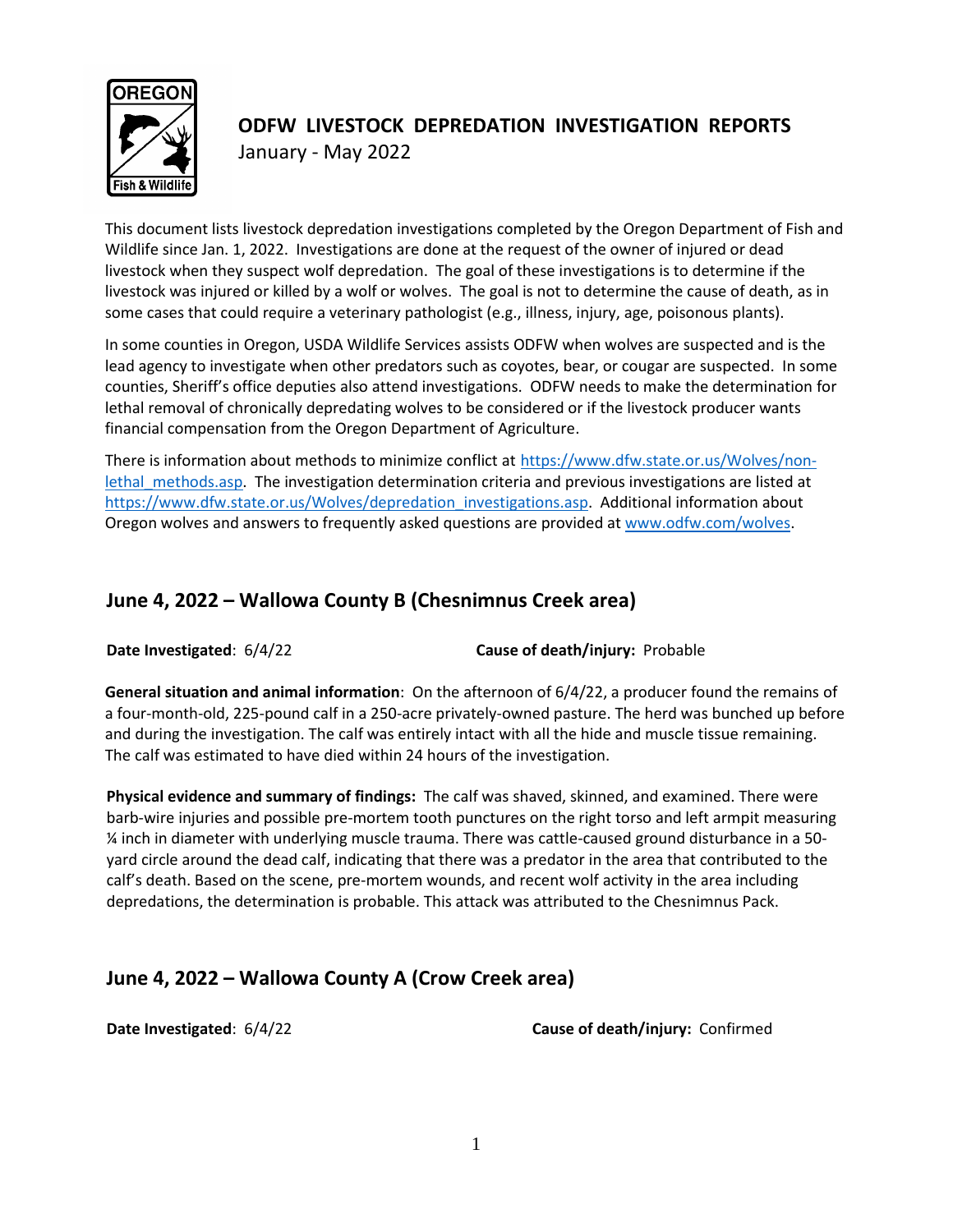

# **ODFW LIVESTOCK DEPREDATION INVESTIGATION REPORTS** January - May 2022

This document lists livestock depredation investigations completed by the Oregon Department of Fish and Wildlife since Jan. 1, 2022. Investigations are done at the request of the owner of injured or dead livestock when they suspect wolf depredation. The goal of these investigations is to determine if the livestock was injured or killed by a wolf or wolves. The goal is not to determine the cause of death, as in some cases that could require a veterinary pathologist (e.g., illness, injury, age, poisonous plants).

In some counties in Oregon, USDA Wildlife Services assists ODFW when wolves are suspected and is the lead agency to investigate when other predators such as coyotes, bear, or cougar are suspected. In some counties, Sheriff's office deputies also attend investigations. ODFW needs to make the determination for lethal removal of chronically depredating wolves to be considered or if the livestock producer wants financial compensation from the Oregon Department of Agriculture.

There is information about methods to minimize conflict at [https://www.dfw.state.or.us/Wolves/non](https://www.dfw.state.or.us/Wolves/non-lethal_methods.asp)lethal methods.asp. The investigation determination criteria and previous investigations are listed at [https://www.dfw.state.or.us/Wolves/depredation\\_investigations.asp.](https://www.dfw.state.or.us/Wolves/depredation_investigations.asp) Additional information about Oregon wolves and answers to frequently asked questions are provided a[t www.odfw.com/wolves.](http://www.odfw.com/wolves)

# **June 4, 2022 – Wallowa County B (Chesnimnus Creek area)**

**Date Investigated**: 6/4/22 **Cause of death/injury:** Probable

**General situation and animal information**: On the afternoon of 6/4/22, a producer found the remains of a four-month-old, 225-pound calf in a 250-acre privately-owned pasture. The herd was bunched up before and during the investigation. The calf was entirely intact with all the hide and muscle tissue remaining. The calf was estimated to have died within 24 hours of the investigation.

**Physical evidence and summary of findings:** The calf was shaved, skinned, and examined. There were barb-wire injuries and possible pre-mortem tooth punctures on the right torso and left armpit measuring ¼ inch in diameter with underlying muscle trauma. There was cattle-caused ground disturbance in a 50 yard circle around the dead calf, indicating that there was a predator in the area that contributed to the calf's death. Based on the scene, pre-mortem wounds, and recent wolf activity in the area including depredations, the determination is probable. This attack was attributed to the Chesnimnus Pack.

# **June 4, 2022 – Wallowa County A (Crow Creek area)**

**Date Investigated**: 6/4/22 **Cause of death/injury:** Confirmed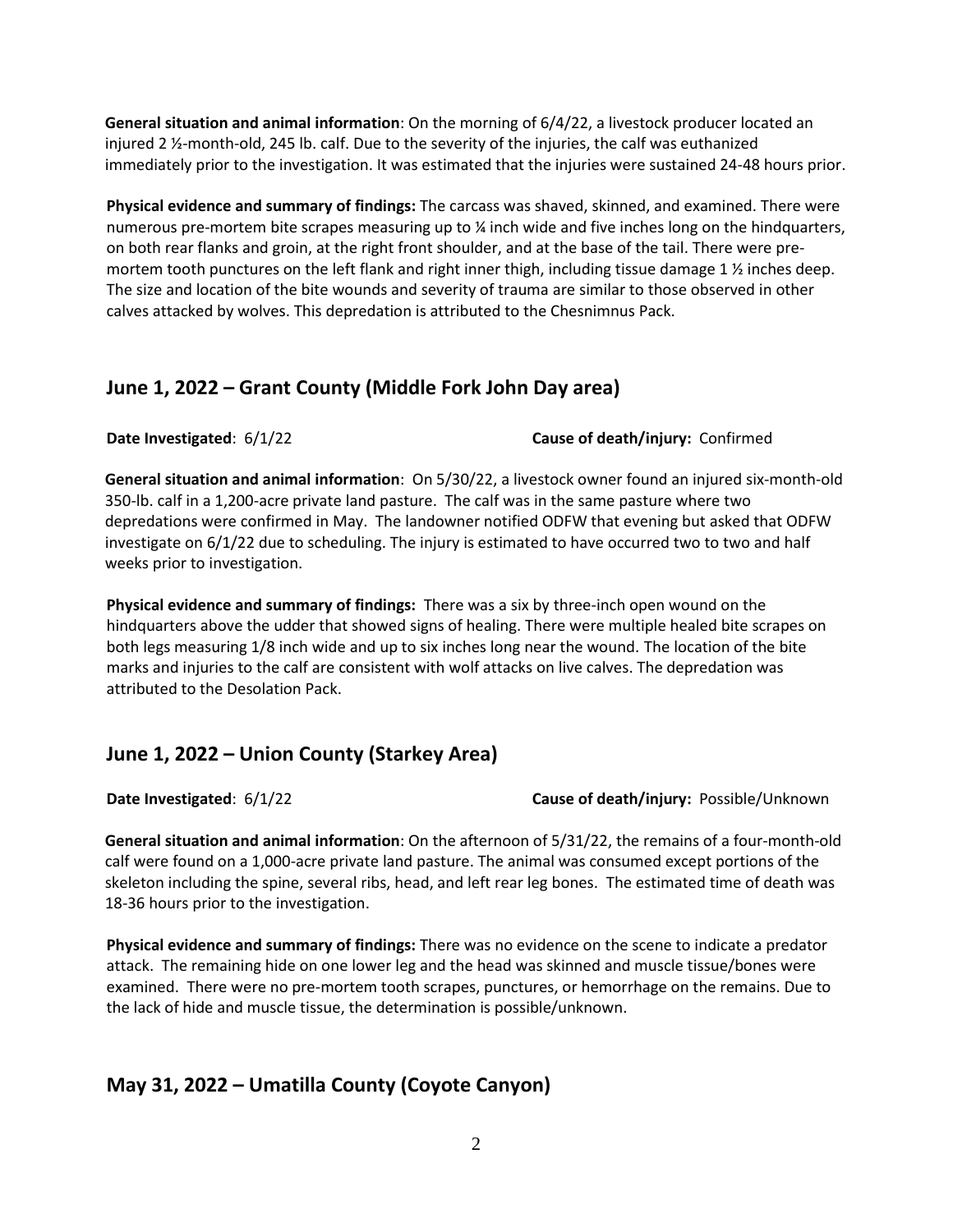**General situation and animal information**: On the morning of 6/4/22, a livestock producer located an injured 2 ½-month-old, 245 lb. calf. Due to the severity of the injuries, the calf was euthanized immediately prior to the investigation. It was estimated that the injuries were sustained 24-48 hours prior.

**Physical evidence and summary of findings:** The carcass was shaved, skinned, and examined. There were numerous pre-mortem bite scrapes measuring up to ¼ inch wide and five inches long on the hindquarters, on both rear flanks and groin, at the right front shoulder, and at the base of the tail. There were premortem tooth punctures on the left flank and right inner thigh, including tissue damage 1  $\frac{1}{2}$  inches deep. The size and location of the bite wounds and severity of trauma are similar to those observed in other calves attacked by wolves. This depredation is attributed to the Chesnimnus Pack.

# **June 1, 2022 – Grant County (Middle Fork John Day area)**

**Date Investigated**: 6/1/22 **Cause of death/injury:** Confirmed

**General situation and animal information**: On 5/30/22, a livestock owner found an injured six-month-old 350-lb. calf in a 1,200-acre private land pasture. The calf was in the same pasture where two depredations were confirmed in May. The landowner notified ODFW that evening but asked that ODFW investigate on 6/1/22 due to scheduling. The injury is estimated to have occurred two to two and half weeks prior to investigation.

**Physical evidence and summary of findings:** There was a six by three-inch open wound on the hindquarters above the udder that showed signs of healing. There were multiple healed bite scrapes on both legs measuring 1/8 inch wide and up to six inches long near the wound. The location of the bite marks and injuries to the calf are consistent with wolf attacks on live calves. The depredation was attributed to the Desolation Pack.

# **June 1, 2022 – Union County (Starkey Area)**

**Date Investigated**: 6/1/22 **Cause of death/injury:** Possible/Unknown

**General situation and animal information**: On the afternoon of 5/31/22, the remains of a four-month-old calf were found on a 1,000-acre private land pasture. The animal was consumed except portions of the skeleton including the spine, several ribs, head, and left rear leg bones. The estimated time of death was 18-36 hours prior to the investigation.

**Physical evidence and summary of findings:** There was no evidence on the scene to indicate a predator attack. The remaining hide on one lower leg and the head was skinned and muscle tissue/bones were examined. There were no pre-mortem tooth scrapes, punctures, or hemorrhage on the remains. Due to the lack of hide and muscle tissue, the determination is possible/unknown.

# **May 31, 2022 – Umatilla County (Coyote Canyon)**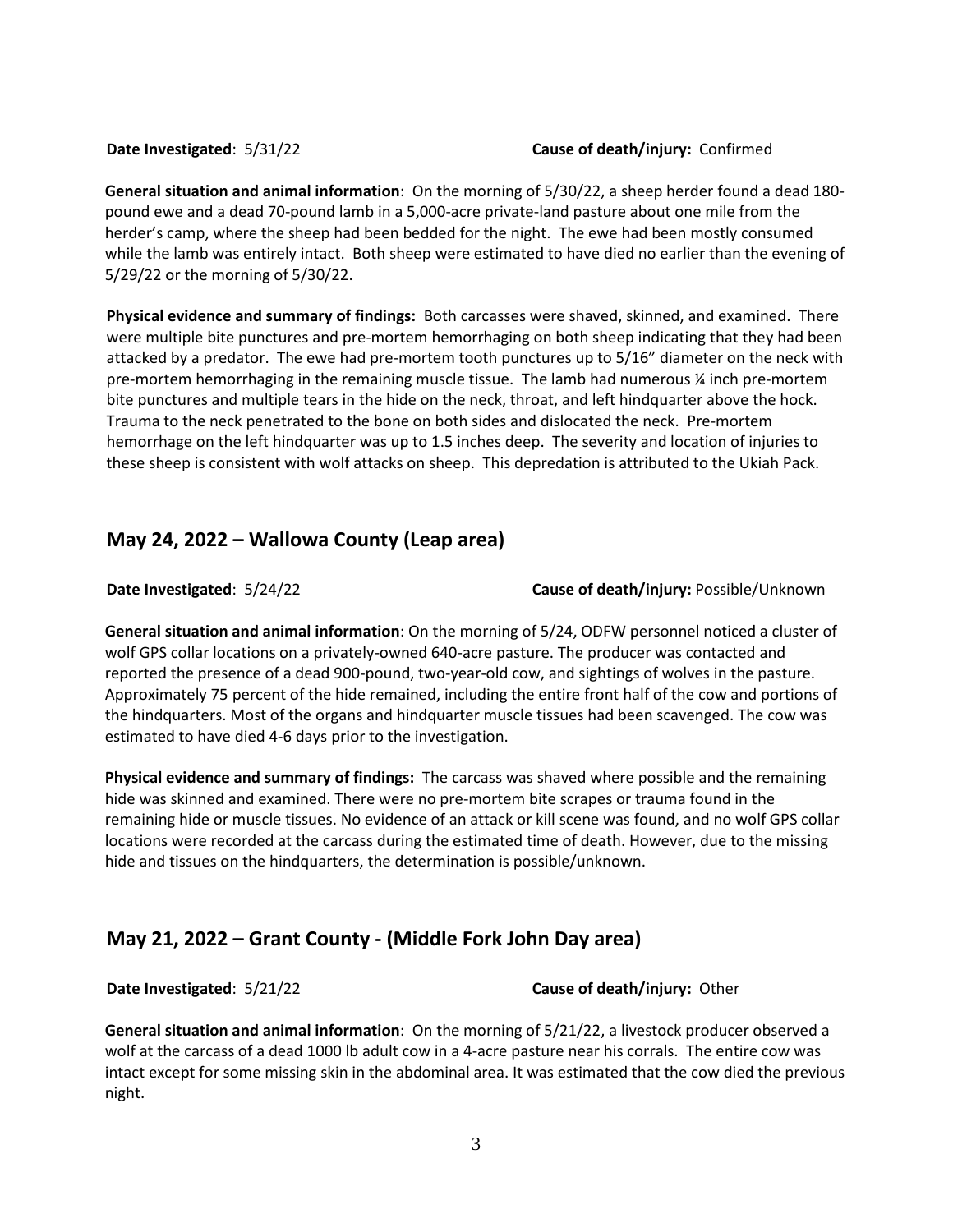### **Date Investigated**: 5/31/22 **Cause of death/injury:** Confirmed

**General situation and animal information**: On the morning of 5/30/22, a sheep herder found a dead 180 pound ewe and a dead 70-pound lamb in a 5,000-acre private-land pasture about one mile from the herder's camp, where the sheep had been bedded for the night. The ewe had been mostly consumed while the lamb was entirely intact. Both sheep were estimated to have died no earlier than the evening of 5/29/22 or the morning of 5/30/22.

**Physical evidence and summary of findings:** Both carcasses were shaved, skinned, and examined. There were multiple bite punctures and pre-mortem hemorrhaging on both sheep indicating that they had been attacked by a predator. The ewe had pre-mortem tooth punctures up to 5/16" diameter on the neck with pre-mortem hemorrhaging in the remaining muscle tissue. The lamb had numerous ¼ inch pre-mortem bite punctures and multiple tears in the hide on the neck, throat, and left hindquarter above the hock. Trauma to the neck penetrated to the bone on both sides and dislocated the neck. Pre-mortem hemorrhage on the left hindquarter was up to 1.5 inches deep. The severity and location of injuries to these sheep is consistent with wolf attacks on sheep. This depredation is attributed to the Ukiah Pack.

## **May 24, 2022 – Wallowa County (Leap area)**

**Date Investigated**: 5/24/22 **Cause of death/injury:** Possible/Unknown

**General situation and animal information**: On the morning of 5/24, ODFW personnel noticed a cluster of wolf GPS collar locations on a privately-owned 640-acre pasture. The producer was contacted and reported the presence of a dead 900-pound, two-year-old cow, and sightings of wolves in the pasture. Approximately 75 percent of the hide remained, including the entire front half of the cow and portions of the hindquarters. Most of the organs and hindquarter muscle tissues had been scavenged. The cow was estimated to have died 4-6 days prior to the investigation.

**Physical evidence and summary of findings:** The carcass was shaved where possible and the remaining hide was skinned and examined. There were no pre-mortem bite scrapes or trauma found in the remaining hide or muscle tissues. No evidence of an attack or kill scene was found, and no wolf GPS collar locations were recorded at the carcass during the estimated time of death. However, due to the missing hide and tissues on the hindquarters, the determination is possible/unknown.

# **May 21, 2022 – Grant County - (Middle Fork John Day area)**

**Date Investigated**: 5/21/22 **Cause of death/injury:** Other

**General situation and animal information**: On the morning of 5/21/22, a livestock producer observed a wolf at the carcass of a dead 1000 lb adult cow in a 4-acre pasture near his corrals. The entire cow was intact except for some missing skin in the abdominal area. It was estimated that the cow died the previous night.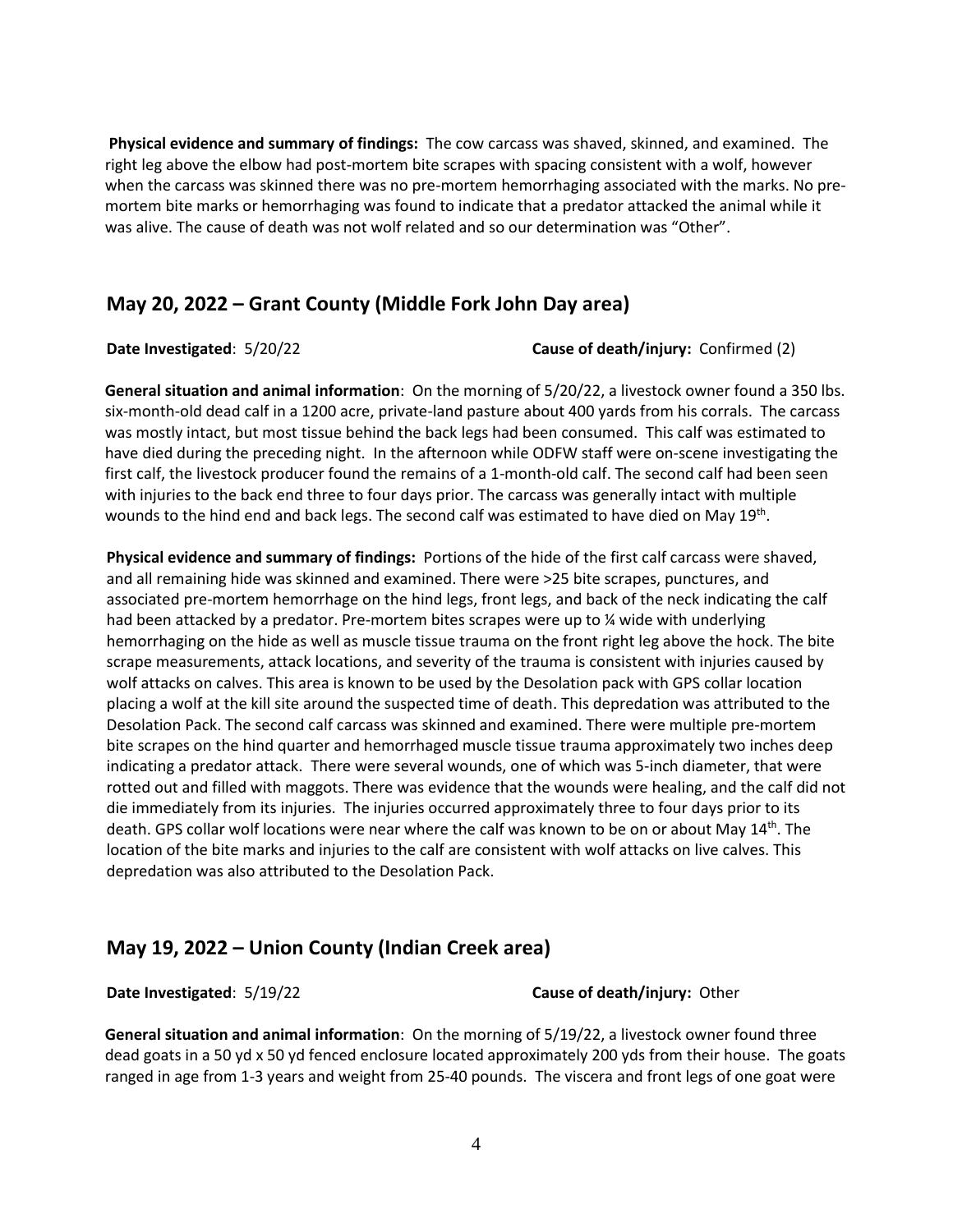**Physical evidence and summary of findings:** The cow carcass was shaved, skinned, and examined. The right leg above the elbow had post-mortem bite scrapes with spacing consistent with a wolf, however when the carcass was skinned there was no pre-mortem hemorrhaging associated with the marks. No premortem bite marks or hemorrhaging was found to indicate that a predator attacked the animal while it was alive. The cause of death was not wolf related and so our determination was "Other".

## **May 20, 2022 – Grant County (Middle Fork John Day area)**

#### **Date Investigated**: 5/20/22 **Cause of death/injury:** Confirmed (2)

**General situation and animal information**: On the morning of 5/20/22, a livestock owner found a 350 lbs. six-month-old dead calf in a 1200 acre, private-land pasture about 400 yards from his corrals. The carcass was mostly intact, but most tissue behind the back legs had been consumed. This calf was estimated to have died during the preceding night. In the afternoon while ODFW staff were on-scene investigating the first calf, the livestock producer found the remains of a 1-month-old calf. The second calf had been seen with injuries to the back end three to four days prior. The carcass was generally intact with multiple wounds to the hind end and back legs. The second calf was estimated to have died on May 19<sup>th</sup>.

**Physical evidence and summary of findings:** Portions of the hide of the first calf carcass were shaved, and all remaining hide was skinned and examined. There were >25 bite scrapes, punctures, and associated pre-mortem hemorrhage on the hind legs, front legs, and back of the neck indicating the calf had been attacked by a predator. Pre-mortem bites scrapes were up to % wide with underlying hemorrhaging on the hide as well as muscle tissue trauma on the front right leg above the hock. The bite scrape measurements, attack locations, and severity of the trauma is consistent with injuries caused by wolf attacks on calves. This area is known to be used by the Desolation pack with GPS collar location placing a wolf at the kill site around the suspected time of death. This depredation was attributed to the Desolation Pack. The second calf carcass was skinned and examined. There were multiple pre-mortem bite scrapes on the hind quarter and hemorrhaged muscle tissue trauma approximately two inches deep indicating a predator attack. There were several wounds, one of which was 5-inch diameter, that were rotted out and filled with maggots. There was evidence that the wounds were healing, and the calf did not die immediately from its injuries. The injuries occurred approximately three to four days prior to its death. GPS collar wolf locations were near where the calf was known to be on or about May 14<sup>th</sup>. The location of the bite marks and injuries to the calf are consistent with wolf attacks on live calves. This depredation was also attributed to the Desolation Pack.

## **May 19, 2022 – Union County (Indian Creek area)**

**Date Investigated**: 5/19/22 **Cause of death/injury:** Other

**General situation and animal information**: On the morning of 5/19/22, a livestock owner found three dead goats in a 50 yd x 50 yd fenced enclosure located approximately 200 yds from their house. The goats ranged in age from 1-3 years and weight from 25-40 pounds. The viscera and front legs of one goat were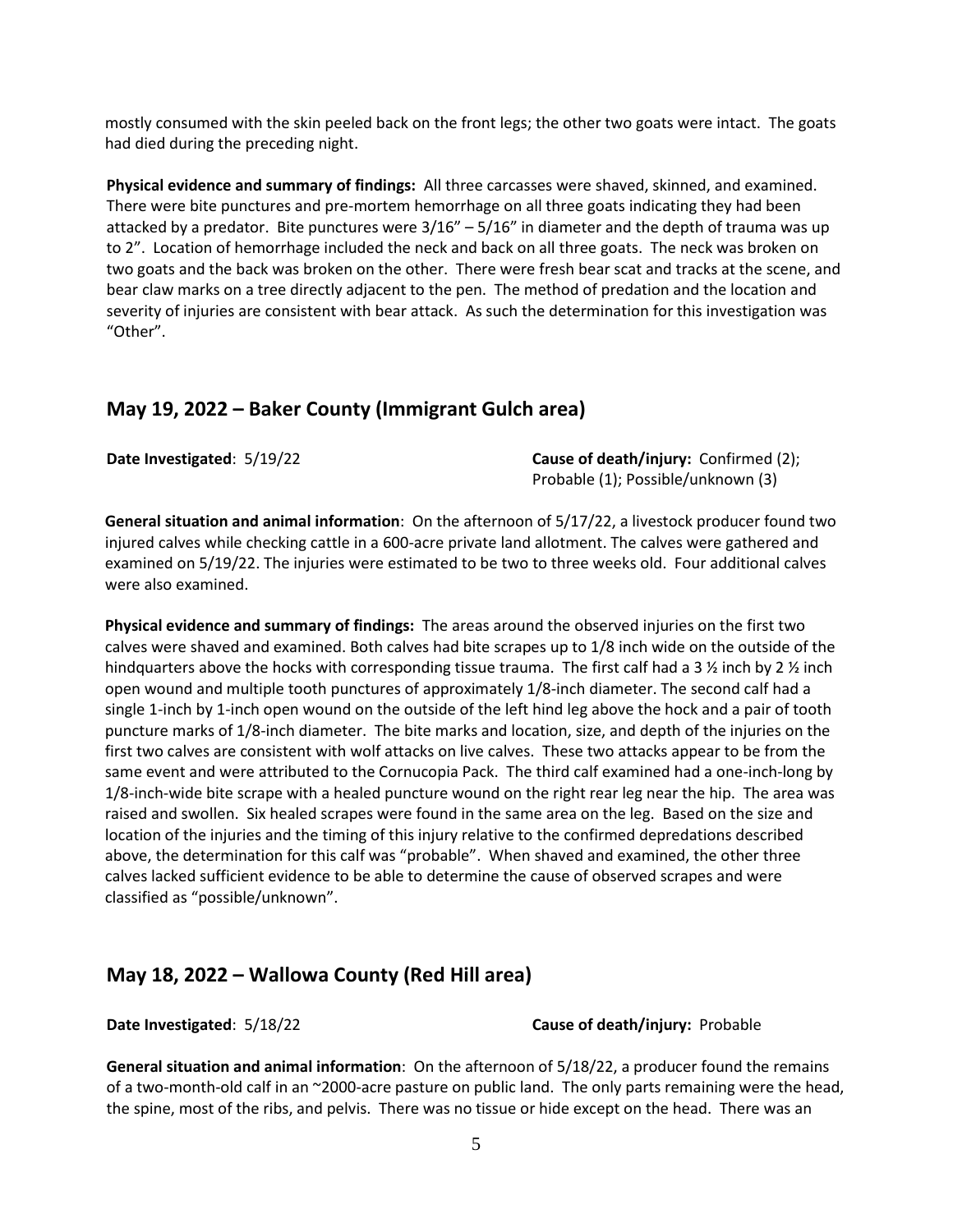mostly consumed with the skin peeled back on the front legs; the other two goats were intact. The goats had died during the preceding night.

**Physical evidence and summary of findings:** All three carcasses were shaved, skinned, and examined. There were bite punctures and pre-mortem hemorrhage on all three goats indicating they had been attacked by a predator. Bite punctures were  $3/16'' - 5/16''$  in diameter and the depth of trauma was up to 2". Location of hemorrhage included the neck and back on all three goats. The neck was broken on two goats and the back was broken on the other. There were fresh bear scat and tracks at the scene, and bear claw marks on a tree directly adjacent to the pen. The method of predation and the location and severity of injuries are consistent with bear attack. As such the determination for this investigation was "Other".

## **May 19, 2022 – Baker County (Immigrant Gulch area)**

**Date Investigated**: 5/19/22 **Cause of death/injury:** Confirmed (2); Probable (1); Possible/unknown (3)

**General situation and animal information**: On the afternoon of 5/17/22, a livestock producer found two injured calves while checking cattle in a 600-acre private land allotment. The calves were gathered and examined on 5/19/22. The injuries were estimated to be two to three weeks old. Four additional calves were also examined.

**Physical evidence and summary of findings:** The areas around the observed injuries on the first two calves were shaved and examined. Both calves had bite scrapes up to 1/8 inch wide on the outside of the hindquarters above the hocks with corresponding tissue trauma. The first calf had a 3  $\frac{1}{2}$  inch by 2  $\frac{1}{2}$  inch open wound and multiple tooth punctures of approximately 1/8-inch diameter. The second calf had a single 1-inch by 1-inch open wound on the outside of the left hind leg above the hock and a pair of tooth puncture marks of 1/8-inch diameter. The bite marks and location, size, and depth of the injuries on the first two calves are consistent with wolf attacks on live calves. These two attacks appear to be from the same event and were attributed to the Cornucopia Pack. The third calf examined had a one-inch-long by 1/8-inch-wide bite scrape with a healed puncture wound on the right rear leg near the hip. The area was raised and swollen. Six healed scrapes were found in the same area on the leg. Based on the size and location of the injuries and the timing of this injury relative to the confirmed depredations described above, the determination for this calf was "probable". When shaved and examined, the other three calves lacked sufficient evidence to be able to determine the cause of observed scrapes and were classified as "possible/unknown".

## **May 18, 2022 – Wallowa County (Red Hill area)**

**Date Investigated**: 5/18/22 **Cause of death/injury:** Probable

**General situation and animal information**: On the afternoon of 5/18/22, a producer found the remains of a two-month-old calf in an ~2000-acre pasture on public land. The only parts remaining were the head, the spine, most of the ribs, and pelvis. There was no tissue or hide except on the head. There was an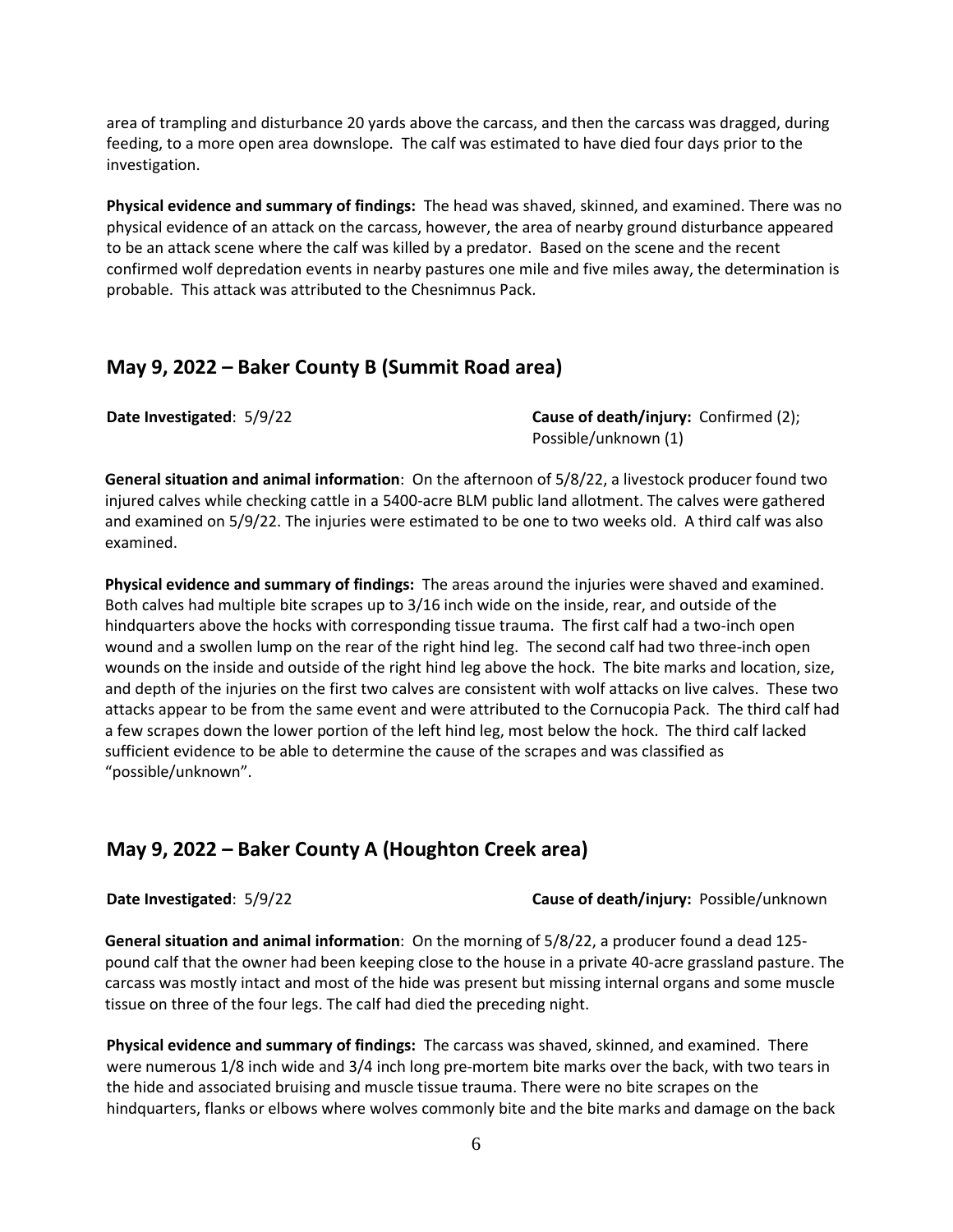area of trampling and disturbance 20 yards above the carcass, and then the carcass was dragged, during feeding, to a more open area downslope. The calf was estimated to have died four days prior to the investigation.

**Physical evidence and summary of findings:** The head was shaved, skinned, and examined. There was no physical evidence of an attack on the carcass, however, the area of nearby ground disturbance appeared to be an attack scene where the calf was killed by a predator. Based on the scene and the recent confirmed wolf depredation events in nearby pastures one mile and five miles away, the determination is probable. This attack was attributed to the Chesnimnus Pack.

## **May 9, 2022 – Baker County B (Summit Road area)**

**Date Investigated:** 5/9/22 **Cause of death/injury:** Confirmed (2); Possible/unknown (1)

**General situation and animal information**: On the afternoon of 5/8/22, a livestock producer found two injured calves while checking cattle in a 5400-acre BLM public land allotment. The calves were gathered and examined on 5/9/22. The injuries were estimated to be one to two weeks old. A third calf was also examined.

**Physical evidence and summary of findings:** The areas around the injuries were shaved and examined. Both calves had multiple bite scrapes up to 3/16 inch wide on the inside, rear, and outside of the hindquarters above the hocks with corresponding tissue trauma. The first calf had a two-inch open wound and a swollen lump on the rear of the right hind leg. The second calf had two three-inch open wounds on the inside and outside of the right hind leg above the hock. The bite marks and location, size, and depth of the injuries on the first two calves are consistent with wolf attacks on live calves. These two attacks appear to be from the same event and were attributed to the Cornucopia Pack. The third calf had a few scrapes down the lower portion of the left hind leg, most below the hock. The third calf lacked sufficient evidence to be able to determine the cause of the scrapes and was classified as "possible/unknown".

## **May 9, 2022 – Baker County A (Houghton Creek area)**

**Date Investigated**: 5/9/22 **Cause of death/injury:** Possible/unknown

**General situation and animal information**: On the morning of 5/8/22, a producer found a dead 125 pound calf that the owner had been keeping close to the house in a private 40-acre grassland pasture. The carcass was mostly intact and most of the hide was present but missing internal organs and some muscle tissue on three of the four legs. The calf had died the preceding night.

**Physical evidence and summary of findings:** The carcass was shaved, skinned, and examined. There were numerous 1/8 inch wide and 3/4 inch long pre-mortem bite marks over the back, with two tears in the hide and associated bruising and muscle tissue trauma. There were no bite scrapes on the hindquarters, flanks or elbows where wolves commonly bite and the bite marks and damage on the back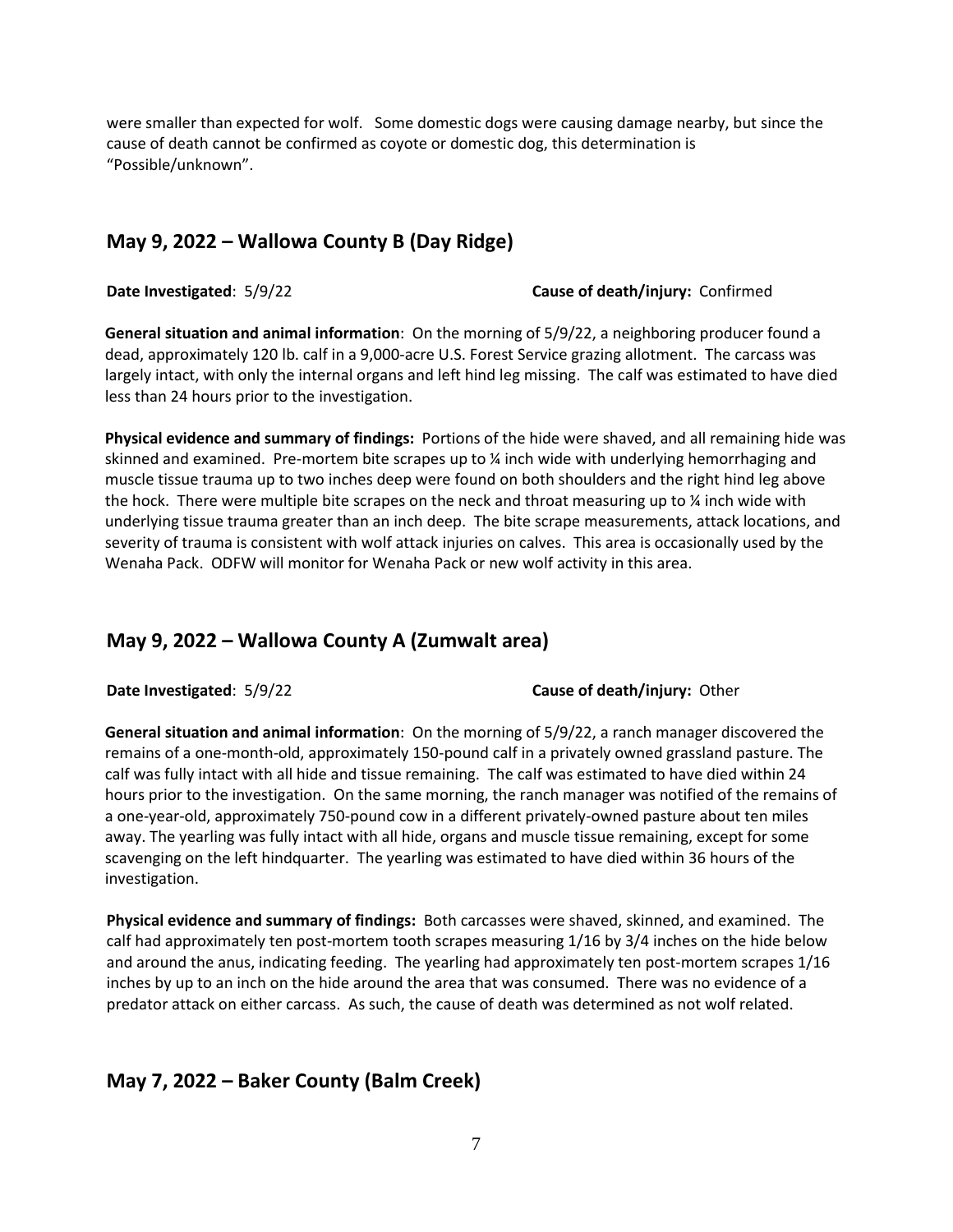were smaller than expected for wolf. Some domestic dogs were causing damage nearby, but since the cause of death cannot be confirmed as coyote or domestic dog, this determination is "Possible/unknown".

## **May 9, 2022 – Wallowa County B (Day Ridge)**

### **Date Investigated**: 5/9/22 **Cause of death/injury:** Confirmed

**General situation and animal information**: On the morning of 5/9/22, a neighboring producer found a dead, approximately 120 lb. calf in a 9,000-acre U.S. Forest Service grazing allotment. The carcass was largely intact, with only the internal organs and left hind leg missing. The calf was estimated to have died less than 24 hours prior to the investigation.

**Physical evidence and summary of findings:** Portions of the hide were shaved, and all remaining hide was skinned and examined. Pre-mortem bite scrapes up to ¼ inch wide with underlying hemorrhaging and muscle tissue trauma up to two inches deep were found on both shoulders and the right hind leg above the hock. There were multiple bite scrapes on the neck and throat measuring up to  $\chi$  inch wide with underlying tissue trauma greater than an inch deep. The bite scrape measurements, attack locations, and severity of trauma is consistent with wolf attack injuries on calves. This area is occasionally used by the Wenaha Pack. ODFW will monitor for Wenaha Pack or new wolf activity in this area.

## **May 9, 2022 – Wallowa County A (Zumwalt area)**

### **Date Investigated**: 5/9/22 **Cause of death/injury:** Other

**General situation and animal information**: On the morning of 5/9/22, a ranch manager discovered the remains of a one-month-old, approximately 150-pound calf in a privately owned grassland pasture. The calf was fully intact with all hide and tissue remaining. The calf was estimated to have died within 24 hours prior to the investigation. On the same morning, the ranch manager was notified of the remains of a one-year-old, approximately 750-pound cow in a different privately-owned pasture about ten miles away. The yearling was fully intact with all hide, organs and muscle tissue remaining, except for some scavenging on the left hindquarter. The yearling was estimated to have died within 36 hours of the investigation.

**Physical evidence and summary of findings:** Both carcasses were shaved, skinned, and examined. The calf had approximately ten post-mortem tooth scrapes measuring 1/16 by 3/4 inches on the hide below and around the anus, indicating feeding. The yearling had approximately ten post-mortem scrapes 1/16 inches by up to an inch on the hide around the area that was consumed. There was no evidence of a predator attack on either carcass. As such, the cause of death was determined as not wolf related.

## **May 7, 2022 – Baker County (Balm Creek)**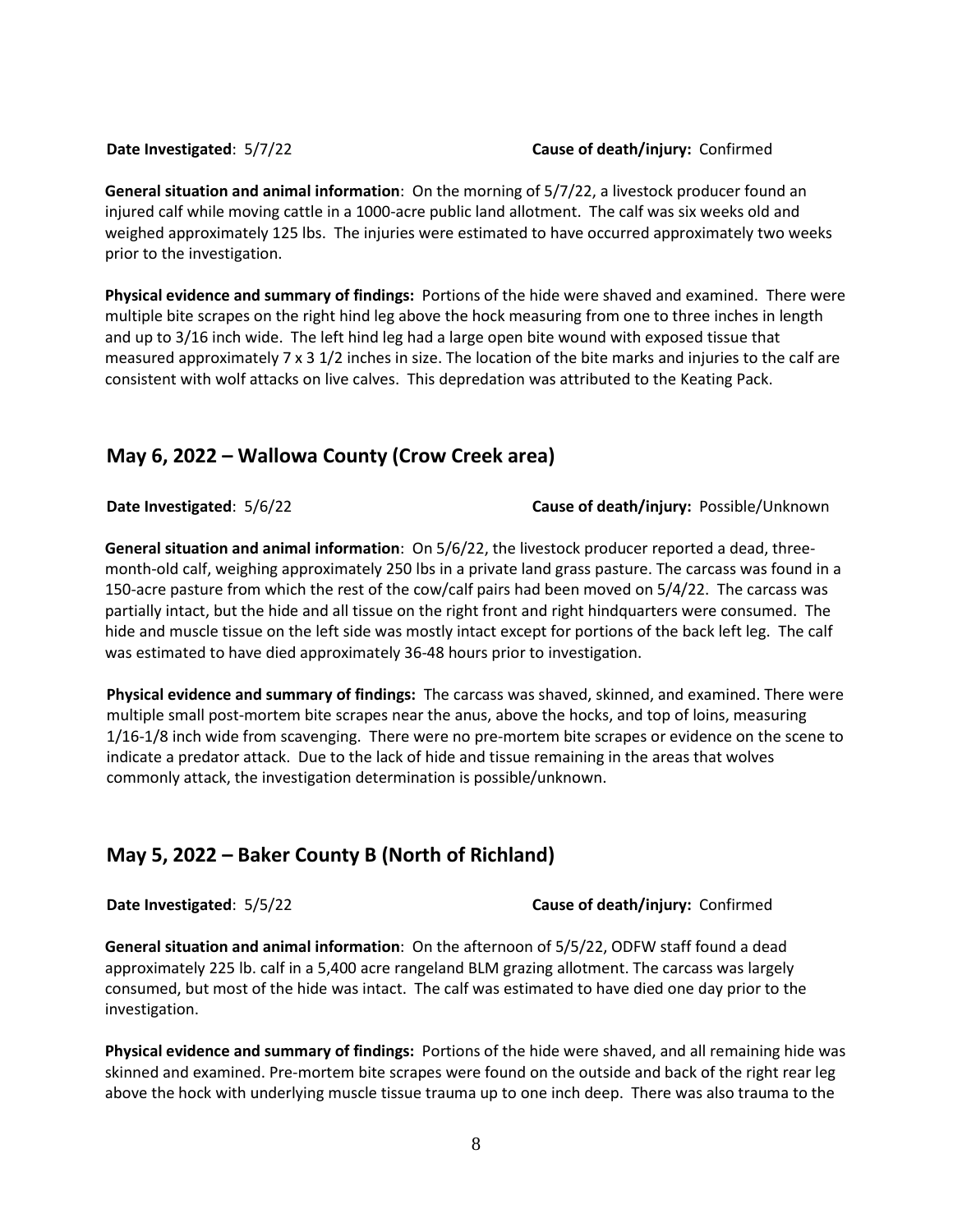#### **Date Investigated**: 5/7/22 **Cause of death/injury:** Confirmed

**General situation and animal information**: On the morning of 5/7/22, a livestock producer found an injured calf while moving cattle in a 1000-acre public land allotment. The calf was six weeks old and weighed approximately 125 lbs. The injuries were estimated to have occurred approximately two weeks prior to the investigation.

**Physical evidence and summary of findings:** Portions of the hide were shaved and examined. There were multiple bite scrapes on the right hind leg above the hock measuring from one to three inches in length and up to 3/16 inch wide. The left hind leg had a large open bite wound with exposed tissue that measured approximately 7 x 3 1/2 inches in size. The location of the bite marks and injuries to the calf are consistent with wolf attacks on live calves. This depredation was attributed to the Keating Pack.

## **May 6, 2022 – Wallowa County (Crow Creek area)**

#### **Date Investigated**: 5/6/22 **Cause of death/injury:** Possible/Unknown

**General situation and animal information**: On 5/6/22, the livestock producer reported a dead, threemonth-old calf, weighing approximately 250 lbs in a private land grass pasture. The carcass was found in a 150-acre pasture from which the rest of the cow/calf pairs had been moved on 5/4/22. The carcass was partially intact, but the hide and all tissue on the right front and right hindquarters were consumed. The hide and muscle tissue on the left side was mostly intact except for portions of the back left leg. The calf was estimated to have died approximately 36-48 hours prior to investigation.

**Physical evidence and summary of findings:** The carcass was shaved, skinned, and examined. There were multiple small post-mortem bite scrapes near the anus, above the hocks, and top of loins, measuring 1/16-1/8 inch wide from scavenging. There were no pre-mortem bite scrapes or evidence on the scene to indicate a predator attack. Due to the lack of hide and tissue remaining in the areas that wolves commonly attack, the investigation determination is possible/unknown.

## **May 5, 2022 – Baker County B (North of Richland)**

### **Date Investigated**: 5/5/22 **Cause of death/injury:** Confirmed

**General situation and animal information**: On the afternoon of 5/5/22, ODFW staff found a dead approximately 225 lb. calf in a 5,400 acre rangeland BLM grazing allotment. The carcass was largely consumed, but most of the hide was intact. The calf was estimated to have died one day prior to the investigation.

**Physical evidence and summary of findings:** Portions of the hide were shaved, and all remaining hide was skinned and examined. Pre-mortem bite scrapes were found on the outside and back of the right rear leg above the hock with underlying muscle tissue trauma up to one inch deep. There was also trauma to the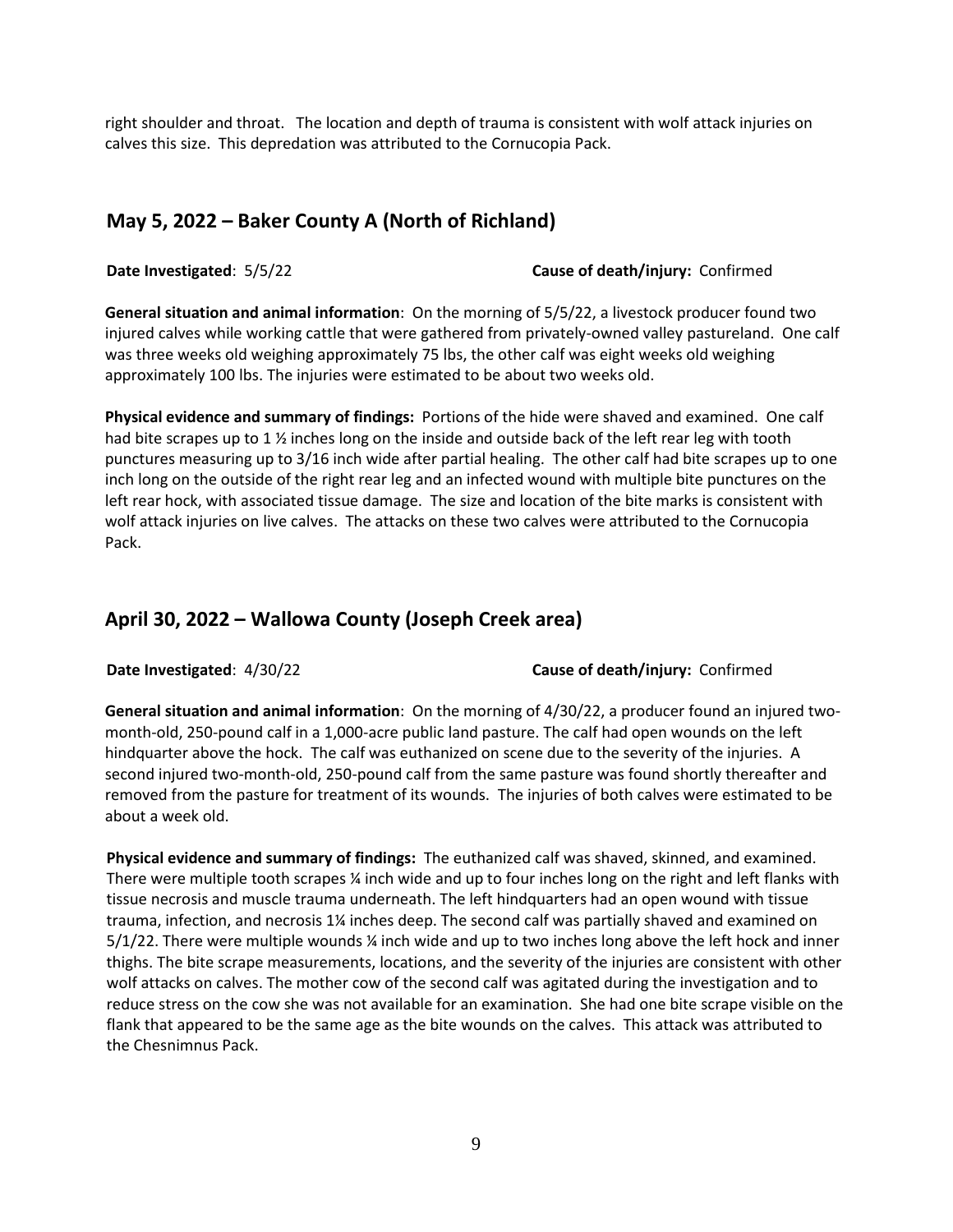right shoulder and throat. The location and depth of trauma is consistent with wolf attack injuries on calves this size. This depredation was attributed to the Cornucopia Pack.

## **May 5, 2022 – Baker County A (North of Richland)**

**Date Investigated**: 5/5/22 **Cause of death/injury:** Confirmed

**General situation and animal information**: On the morning of 5/5/22, a livestock producer found two injured calves while working cattle that were gathered from privately-owned valley pastureland. One calf was three weeks old weighing approximately 75 lbs, the other calf was eight weeks old weighing approximately 100 lbs. The injuries were estimated to be about two weeks old.

**Physical evidence and summary of findings:** Portions of the hide were shaved and examined. One calf had bite scrapes up to 1  $\frac{1}{2}$  inches long on the inside and outside back of the left rear leg with tooth punctures measuring up to 3/16 inch wide after partial healing. The other calf had bite scrapes up to one inch long on the outside of the right rear leg and an infected wound with multiple bite punctures on the left rear hock, with associated tissue damage. The size and location of the bite marks is consistent with wolf attack injuries on live calves. The attacks on these two calves were attributed to the Cornucopia Pack.

# **April 30, 2022 – Wallowa County (Joseph Creek area)**

### **Date Investigated**: 4/30/22 **Cause of death/injury:** Confirmed

**General situation and animal information**: On the morning of 4/30/22, a producer found an injured twomonth-old, 250-pound calf in a 1,000-acre public land pasture. The calf had open wounds on the left hindquarter above the hock. The calf was euthanized on scene due to the severity of the injuries. A second injured two-month-old, 250-pound calf from the same pasture was found shortly thereafter and removed from the pasture for treatment of its wounds. The injuries of both calves were estimated to be about a week old.

**Physical evidence and summary of findings:** The euthanized calf was shaved, skinned, and examined. There were multiple tooth scrapes ¼ inch wide and up to four inches long on the right and left flanks with tissue necrosis and muscle trauma underneath. The left hindquarters had an open wound with tissue trauma, infection, and necrosis 1¼ inches deep. The second calf was partially shaved and examined on 5/1/22. There were multiple wounds ¼ inch wide and up to two inches long above the left hock and inner thighs. The bite scrape measurements, locations, and the severity of the injuries are consistent with other wolf attacks on calves. The mother cow of the second calf was agitated during the investigation and to reduce stress on the cow she was not available for an examination. She had one bite scrape visible on the flank that appeared to be the same age as the bite wounds on the calves. This attack was attributed to the Chesnimnus Pack.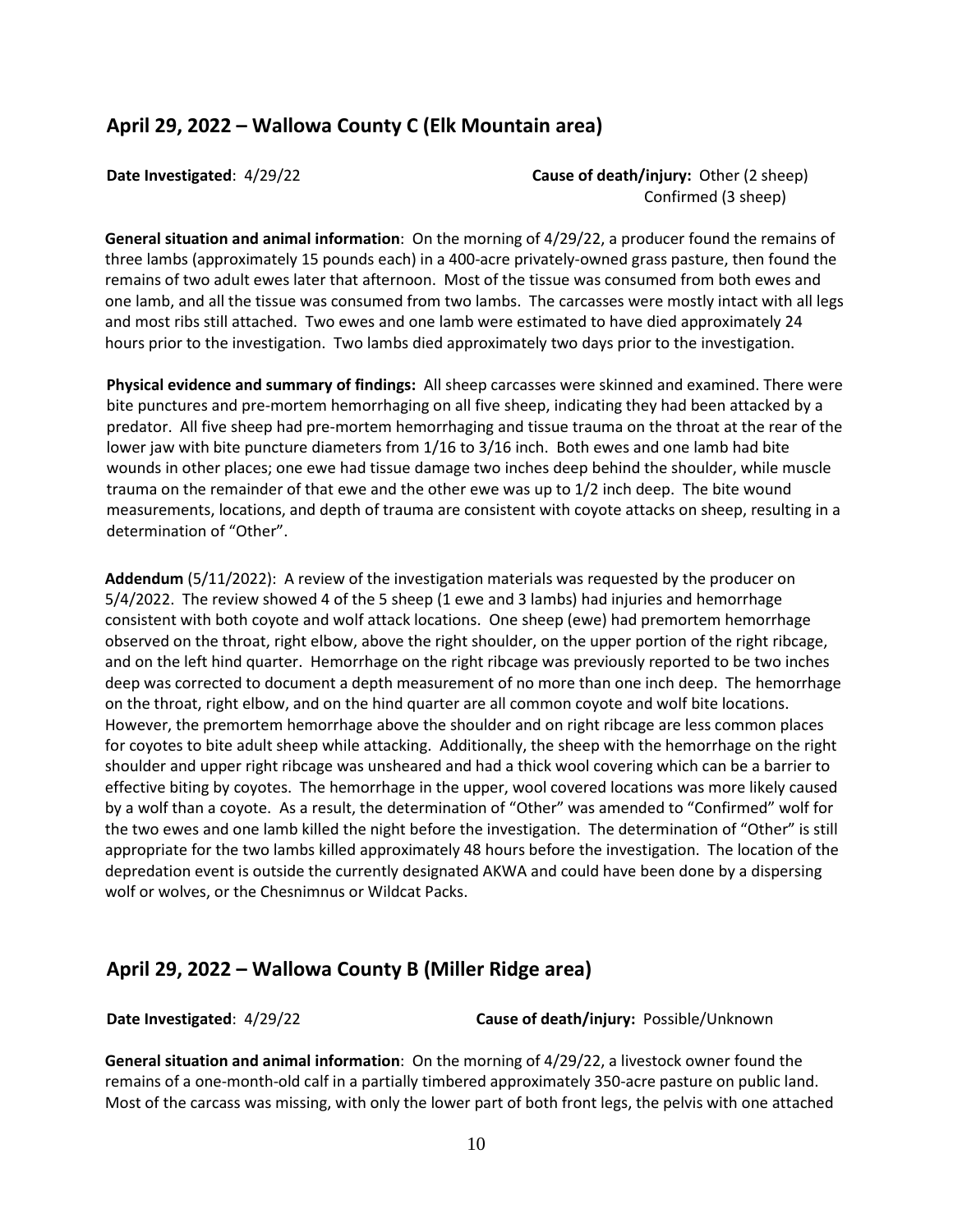## **April 29, 2022 – Wallowa County C (Elk Mountain area)**

**Date Investigated:** 4/29/22 **Cause of death/injury:** Other (2 sheep) Confirmed (3 sheep)

**General situation and animal information**: On the morning of 4/29/22, a producer found the remains of three lambs (approximately 15 pounds each) in a 400-acre privately-owned grass pasture, then found the remains of two adult ewes later that afternoon. Most of the tissue was consumed from both ewes and one lamb, and all the tissue was consumed from two lambs. The carcasses were mostly intact with all legs and most ribs still attached. Two ewes and one lamb were estimated to have died approximately 24 hours prior to the investigation. Two lambs died approximately two days prior to the investigation.

**Physical evidence and summary of findings:** All sheep carcasses were skinned and examined. There were bite punctures and pre-mortem hemorrhaging on all five sheep, indicating they had been attacked by a predator. All five sheep had pre-mortem hemorrhaging and tissue trauma on the throat at the rear of the lower jaw with bite puncture diameters from 1/16 to 3/16 inch. Both ewes and one lamb had bite wounds in other places; one ewe had tissue damage two inches deep behind the shoulder, while muscle trauma on the remainder of that ewe and the other ewe was up to 1/2 inch deep. The bite wound measurements, locations, and depth of trauma are consistent with coyote attacks on sheep, resulting in a determination of "Other".

**Addendum** (5/11/2022): A review of the investigation materials was requested by the producer on 5/4/2022. The review showed 4 of the 5 sheep (1 ewe and 3 lambs) had injuries and hemorrhage consistent with both coyote and wolf attack locations. One sheep (ewe) had premortem hemorrhage observed on the throat, right elbow, above the right shoulder, on the upper portion of the right ribcage, and on the left hind quarter. Hemorrhage on the right ribcage was previously reported to be two inches deep was corrected to document a depth measurement of no more than one inch deep. The hemorrhage on the throat, right elbow, and on the hind quarter are all common coyote and wolf bite locations. However, the premortem hemorrhage above the shoulder and on right ribcage are less common places for coyotes to bite adult sheep while attacking. Additionally, the sheep with the hemorrhage on the right shoulder and upper right ribcage was unsheared and had a thick wool covering which can be a barrier to effective biting by coyotes. The hemorrhage in the upper, wool covered locations was more likely caused by a wolf than a coyote. As a result, the determination of "Other" was amended to "Confirmed" wolf for the two ewes and one lamb killed the night before the investigation. The determination of "Other" is still appropriate for the two lambs killed approximately 48 hours before the investigation. The location of the depredation event is outside the currently designated AKWA and could have been done by a dispersing wolf or wolves, or the Chesnimnus or Wildcat Packs.

## **April 29, 2022 – Wallowa County B (Miller Ridge area)**

**Date Investigated**: 4/29/22 **Cause of death/injury:** Possible/Unknown

**General situation and animal information**: On the morning of 4/29/22, a livestock owner found the remains of a one-month-old calf in a partially timbered approximately 350-acre pasture on public land. Most of the carcass was missing, with only the lower part of both front legs, the pelvis with one attached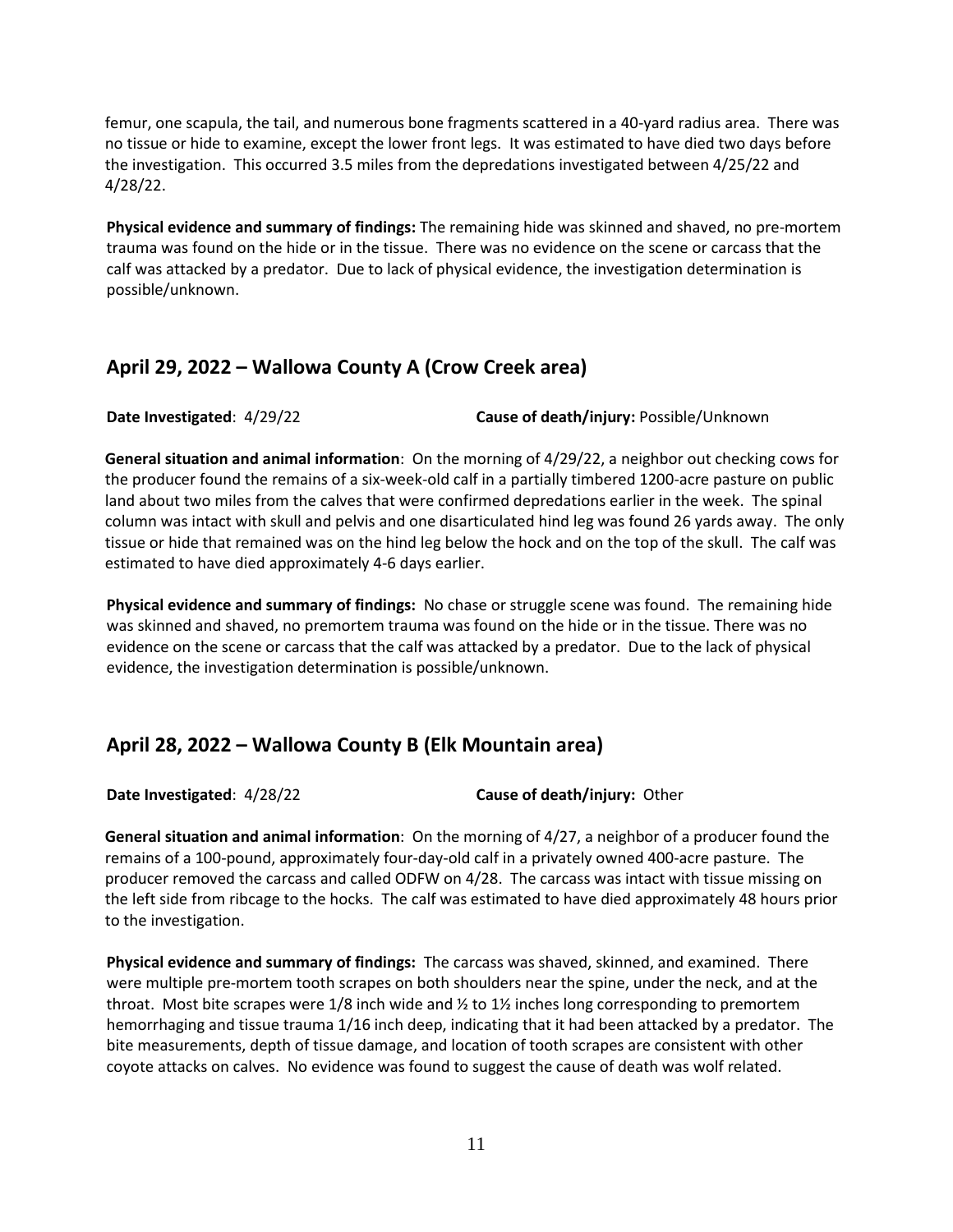femur, one scapula, the tail, and numerous bone fragments scattered in a 40-yard radius area. There was no tissue or hide to examine, except the lower front legs. It was estimated to have died two days before the investigation. This occurred 3.5 miles from the depredations investigated between 4/25/22 and 4/28/22.

**Physical evidence and summary of findings:** The remaining hide was skinned and shaved, no pre-mortem trauma was found on the hide or in the tissue. There was no evidence on the scene or carcass that the calf was attacked by a predator. Due to lack of physical evidence, the investigation determination is possible/unknown.

## **April 29, 2022 – Wallowa County A (Crow Creek area)**

**Date Investigated**: 4/29/22 **Cause of death/injury:** Possible/Unknown

**General situation and animal information**: On the morning of 4/29/22, a neighbor out checking cows for the producer found the remains of a six-week-old calf in a partially timbered 1200-acre pasture on public land about two miles from the calves that were confirmed depredations earlier in the week. The spinal column was intact with skull and pelvis and one disarticulated hind leg was found 26 yards away. The only tissue or hide that remained was on the hind leg below the hock and on the top of the skull. The calf was estimated to have died approximately 4-6 days earlier.

**Physical evidence and summary of findings:** No chase or struggle scene was found. The remaining hide was skinned and shaved, no premortem trauma was found on the hide or in the tissue. There was no evidence on the scene or carcass that the calf was attacked by a predator. Due to the lack of physical evidence, the investigation determination is possible/unknown.

# **April 28, 2022 – Wallowa County B (Elk Mountain area)**

**Date Investigated**: 4/28/22 **Cause of death/injury:** Other

**General situation and animal information**: On the morning of 4/27, a neighbor of a producer found the remains of a 100-pound, approximately four-day-old calf in a privately owned 400-acre pasture. The producer removed the carcass and called ODFW on 4/28. The carcass was intact with tissue missing on the left side from ribcage to the hocks. The calf was estimated to have died approximately 48 hours prior to the investigation.

**Physical evidence and summary of findings:** The carcass was shaved, skinned, and examined. There were multiple pre-mortem tooth scrapes on both shoulders near the spine, under the neck, and at the throat. Most bite scrapes were 1/8 inch wide and  $\frac{1}{2}$  to 1 $\frac{1}{2}$  inches long corresponding to premortem hemorrhaging and tissue trauma 1/16 inch deep, indicating that it had been attacked by a predator. The bite measurements, depth of tissue damage, and location of tooth scrapes are consistent with other coyote attacks on calves. No evidence was found to suggest the cause of death was wolf related.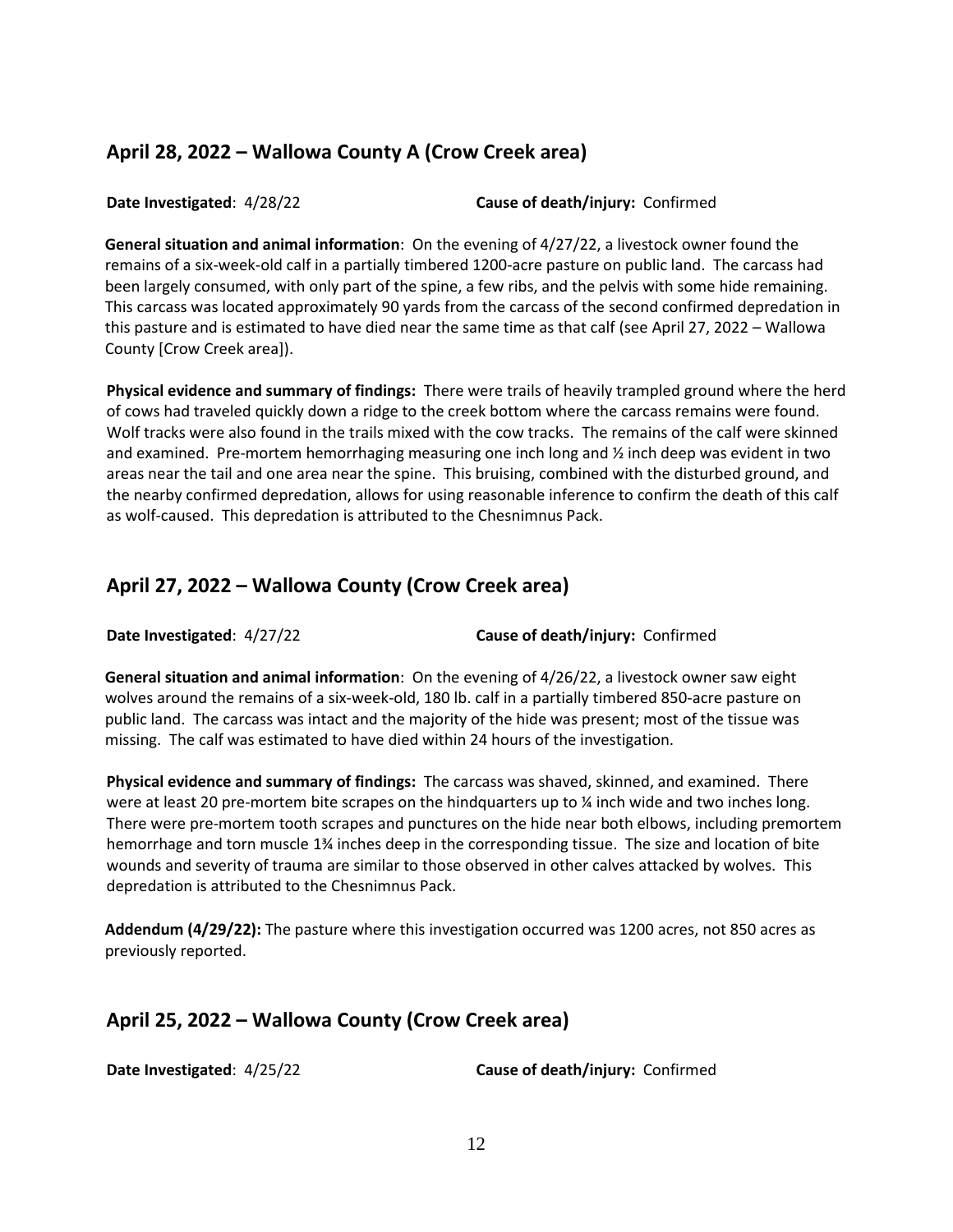# **April 28, 2022 – Wallowa County A (Crow Creek area)**

**Date Investigated**: 4/28/22 **Cause of death/injury:** Confirmed

**General situation and animal information**: On the evening of 4/27/22, a livestock owner found the remains of a six-week-old calf in a partially timbered 1200-acre pasture on public land. The carcass had been largely consumed, with only part of the spine, a few ribs, and the pelvis with some hide remaining. This carcass was located approximately 90 yards from the carcass of the second confirmed depredation in this pasture and is estimated to have died near the same time as that calf (see April 27, 2022 – Wallowa County [Crow Creek area]).

**Physical evidence and summary of findings:** There were trails of heavily trampled ground where the herd of cows had traveled quickly down a ridge to the creek bottom where the carcass remains were found. Wolf tracks were also found in the trails mixed with the cow tracks. The remains of the calf were skinned and examined. Pre-mortem hemorrhaging measuring one inch long and ½ inch deep was evident in two areas near the tail and one area near the spine. This bruising, combined with the disturbed ground, and the nearby confirmed depredation, allows for using reasonable inference to confirm the death of this calf as wolf-caused. This depredation is attributed to the Chesnimnus Pack.

# **April 27, 2022 – Wallowa County (Crow Creek area)**

**Date Investigated**: 4/27/22 **Cause of death/injury:** Confirmed

**General situation and animal information**: On the evening of 4/26/22, a livestock owner saw eight wolves around the remains of a six-week-old, 180 lb. calf in a partially timbered 850-acre pasture on public land. The carcass was intact and the majority of the hide was present; most of the tissue was missing. The calf was estimated to have died within 24 hours of the investigation.

**Physical evidence and summary of findings:** The carcass was shaved, skinned, and examined. There were at least 20 pre-mortem bite scrapes on the hindquarters up to  $\frac{1}{2}$  inch wide and two inches long. There were pre-mortem tooth scrapes and punctures on the hide near both elbows, including premortem hemorrhage and torn muscle 1¾ inches deep in the corresponding tissue. The size and location of bite wounds and severity of trauma are similar to those observed in other calves attacked by wolves. This depredation is attributed to the Chesnimnus Pack.

**Addendum (4/29/22):** The pasture where this investigation occurred was 1200 acres, not 850 acres as previously reported.

# **April 25, 2022 – Wallowa County (Crow Creek area)**

**Date Investigated**: 4/25/22 **Cause of death/injury:** Confirmed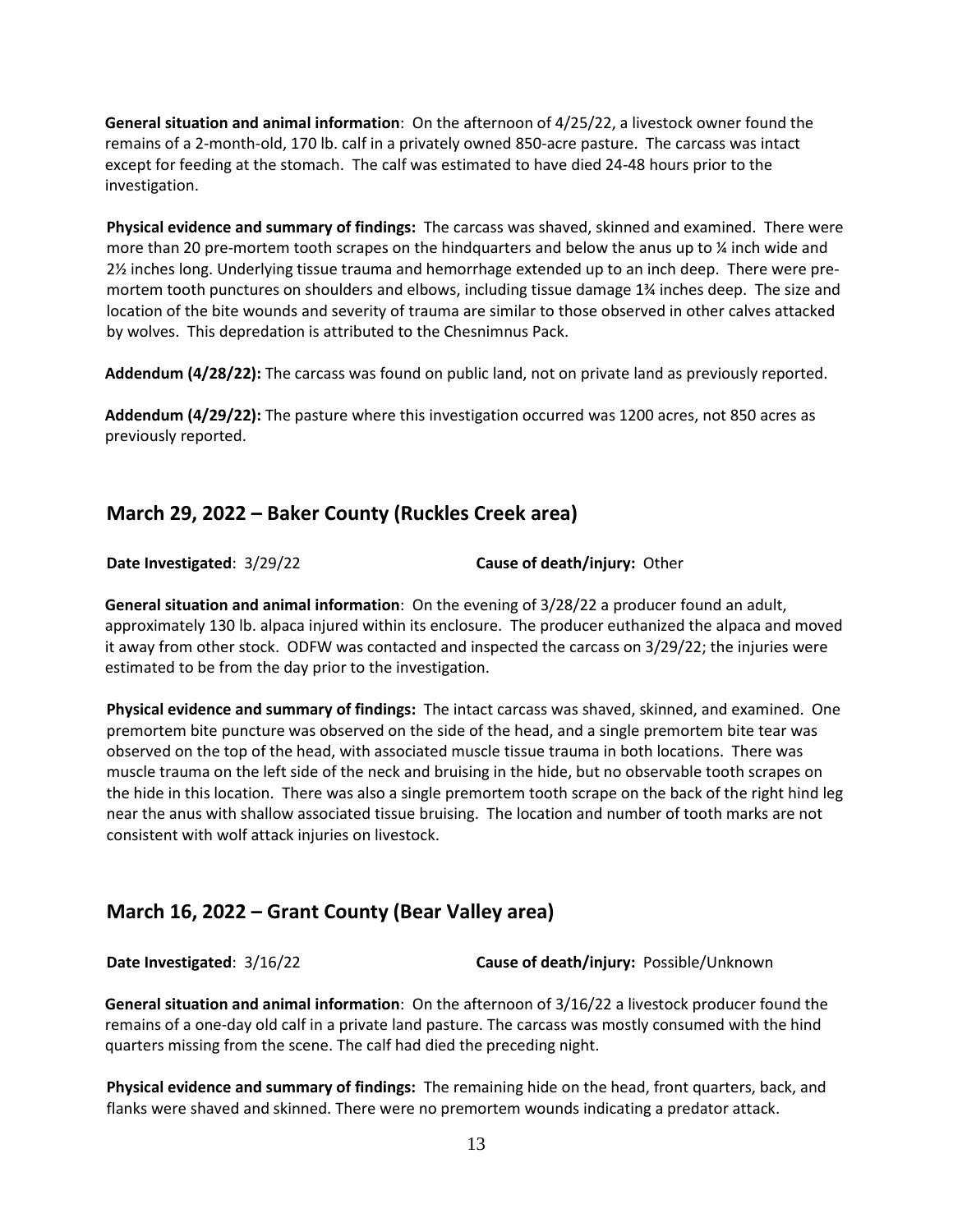**General situation and animal information**: On the afternoon of 4/25/22, a livestock owner found the remains of a 2-month-old, 170 lb. calf in a privately owned 850-acre pasture. The carcass was intact except for feeding at the stomach. The calf was estimated to have died 24-48 hours prior to the investigation.

**Physical evidence and summary of findings:** The carcass was shaved, skinned and examined. There were more than 20 pre-mortem tooth scrapes on the hindquarters and below the anus up to % inch wide and 2½ inches long. Underlying tissue trauma and hemorrhage extended up to an inch deep. There were premortem tooth punctures on shoulders and elbows, including tissue damage 1¾ inches deep. The size and location of the bite wounds and severity of trauma are similar to those observed in other calves attacked by wolves. This depredation is attributed to the Chesnimnus Pack.

**Addendum (4/28/22):** The carcass was found on public land, not on private land as previously reported.

**Addendum (4/29/22):** The pasture where this investigation occurred was 1200 acres, not 850 acres as previously reported.

## **March 29, 2022 – Baker County (Ruckles Creek area)**

**Date Investigated**: 3/29/22 **Cause of death/injury:** Other

**General situation and animal information**: On the evening of 3/28/22 a producer found an adult, approximately 130 lb. alpaca injured within its enclosure. The producer euthanized the alpaca and moved it away from other stock. ODFW was contacted and inspected the carcass on 3/29/22; the injuries were estimated to be from the day prior to the investigation.

**Physical evidence and summary of findings:** The intact carcass was shaved, skinned, and examined. One premortem bite puncture was observed on the side of the head, and a single premortem bite tear was observed on the top of the head, with associated muscle tissue trauma in both locations. There was muscle trauma on the left side of the neck and bruising in the hide, but no observable tooth scrapes on the hide in this location. There was also a single premortem tooth scrape on the back of the right hind leg near the anus with shallow associated tissue bruising. The location and number of tooth marks are not consistent with wolf attack injuries on livestock.

## **March 16, 2022 – Grant County (Bear Valley area)**

**Date Investigated**: 3/16/22 **Cause of death/injury:** Possible/Unknown

**General situation and animal information**: On the afternoon of 3/16/22 a livestock producer found the remains of a one-day old calf in a private land pasture. The carcass was mostly consumed with the hind quarters missing from the scene. The calf had died the preceding night.

**Physical evidence and summary of findings:** The remaining hide on the head, front quarters, back, and flanks were shaved and skinned. There were no premortem wounds indicating a predator attack.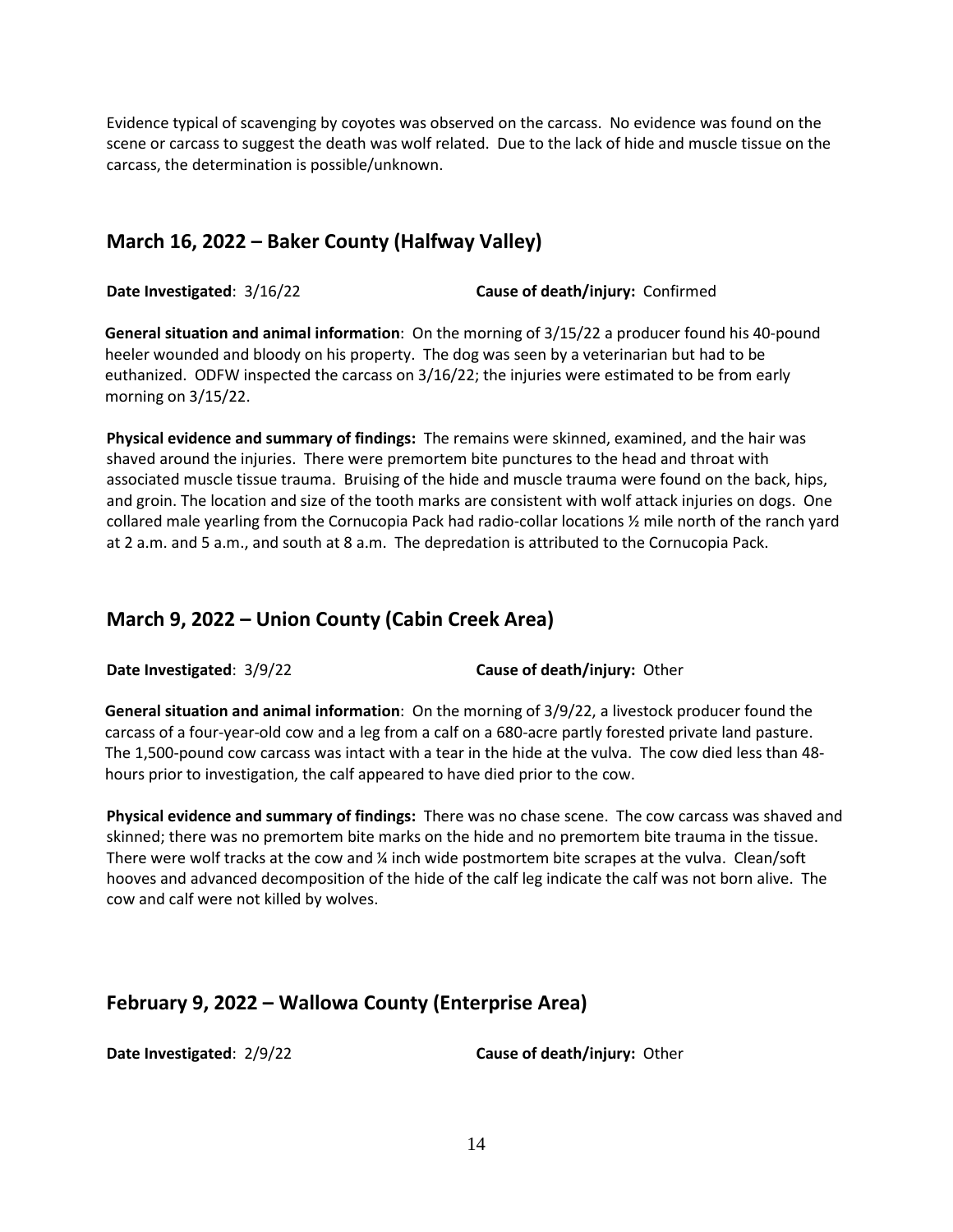Evidence typical of scavenging by coyotes was observed on the carcass. No evidence was found on the scene or carcass to suggest the death was wolf related. Due to the lack of hide and muscle tissue on the carcass, the determination is possible/unknown.

## **March 16, 2022 – Baker County (Halfway Valley)**

**Date Investigated**: 3/16/22 **Cause of death/injury:** Confirmed

**General situation and animal information**: On the morning of 3/15/22 a producer found his 40-pound heeler wounded and bloody on his property. The dog was seen by a veterinarian but had to be euthanized. ODFW inspected the carcass on 3/16/22; the injuries were estimated to be from early morning on 3/15/22.

**Physical evidence and summary of findings:** The remains were skinned, examined, and the hair was shaved around the injuries. There were premortem bite punctures to the head and throat with associated muscle tissue trauma. Bruising of the hide and muscle trauma were found on the back, hips, and groin. The location and size of the tooth marks are consistent with wolf attack injuries on dogs. One collared male yearling from the Cornucopia Pack had radio-collar locations ½ mile north of the ranch yard at 2 a.m. and 5 a.m., and south at 8 a.m. The depredation is attributed to the Cornucopia Pack.

## **March 9, 2022 – Union County (Cabin Creek Area)**

**Date Investigated**: 3/9/22 **Cause of death/injury:** Other

**General situation and animal information**: On the morning of 3/9/22, a livestock producer found the carcass of a four-year-old cow and a leg from a calf on a 680-acre partly forested private land pasture. The 1,500-pound cow carcass was intact with a tear in the hide at the vulva. The cow died less than 48 hours prior to investigation, the calf appeared to have died prior to the cow.

**Physical evidence and summary of findings:** There was no chase scene. The cow carcass was shaved and skinned; there was no premortem bite marks on the hide and no premortem bite trauma in the tissue. There were wolf tracks at the cow and ¼ inch wide postmortem bite scrapes at the vulva. Clean/soft hooves and advanced decomposition of the hide of the calf leg indicate the calf was not born alive. The cow and calf were not killed by wolves.

# **February 9, 2022 – Wallowa County (Enterprise Area)**

**Date Investigated**: 2/9/22 **Cause of death/injury:** Other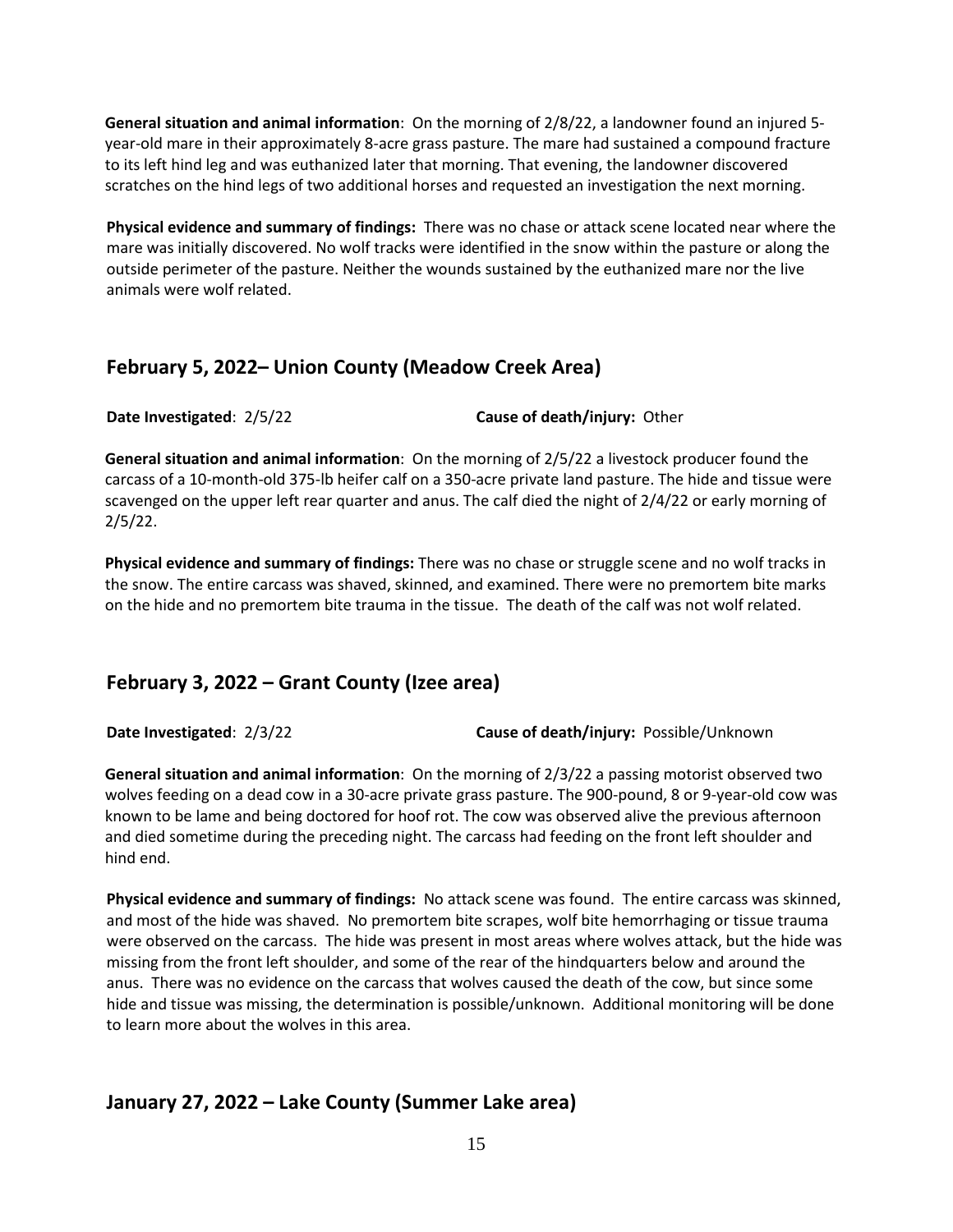**General situation and animal information**: On the morning of 2/8/22, a landowner found an injured 5 year-old mare in their approximately 8-acre grass pasture. The mare had sustained a compound fracture to its left hind leg and was euthanized later that morning. That evening, the landowner discovered scratches on the hind legs of two additional horses and requested an investigation the next morning.

**Physical evidence and summary of findings:** There was no chase or attack scene located near where the mare was initially discovered. No wolf tracks were identified in the snow within the pasture or along the outside perimeter of the pasture. Neither the wounds sustained by the euthanized mare nor the live animals were wolf related.

## **February 5, 2022– Union County (Meadow Creek Area)**

**Date Investigated**: 2/5/22 **Cause of death/injury:** Other

**General situation and animal information**: On the morning of 2/5/22 a livestock producer found the carcass of a 10-month-old 375-lb heifer calf on a 350-acre private land pasture. The hide and tissue were scavenged on the upper left rear quarter and anus. The calf died the night of 2/4/22 or early morning of 2/5/22.

**Physical evidence and summary of findings:** There was no chase or struggle scene and no wolf tracks in the snow. The entire carcass was shaved, skinned, and examined. There were no premortem bite marks on the hide and no premortem bite trauma in the tissue. The death of the calf was not wolf related.

# **February 3, 2022 – Grant County (Izee area)**

**Date Investigated**: 2/3/22 **Cause of death/injury:** Possible/Unknown

**General situation and animal information**: On the morning of 2/3/22 a passing motorist observed two wolves feeding on a dead cow in a 30-acre private grass pasture. The 900-pound, 8 or 9-year-old cow was known to be lame and being doctored for hoof rot. The cow was observed alive the previous afternoon and died sometime during the preceding night. The carcass had feeding on the front left shoulder and hind end.

**Physical evidence and summary of findings:** No attack scene was found. The entire carcass was skinned, and most of the hide was shaved. No premortem bite scrapes, wolf bite hemorrhaging or tissue trauma were observed on the carcass. The hide was present in most areas where wolves attack, but the hide was missing from the front left shoulder, and some of the rear of the hindquarters below and around the anus. There was no evidence on the carcass that wolves caused the death of the cow, but since some hide and tissue was missing, the determination is possible/unknown. Additional monitoring will be done to learn more about the wolves in this area.

# **January 27, 2022 – Lake County (Summer Lake area)**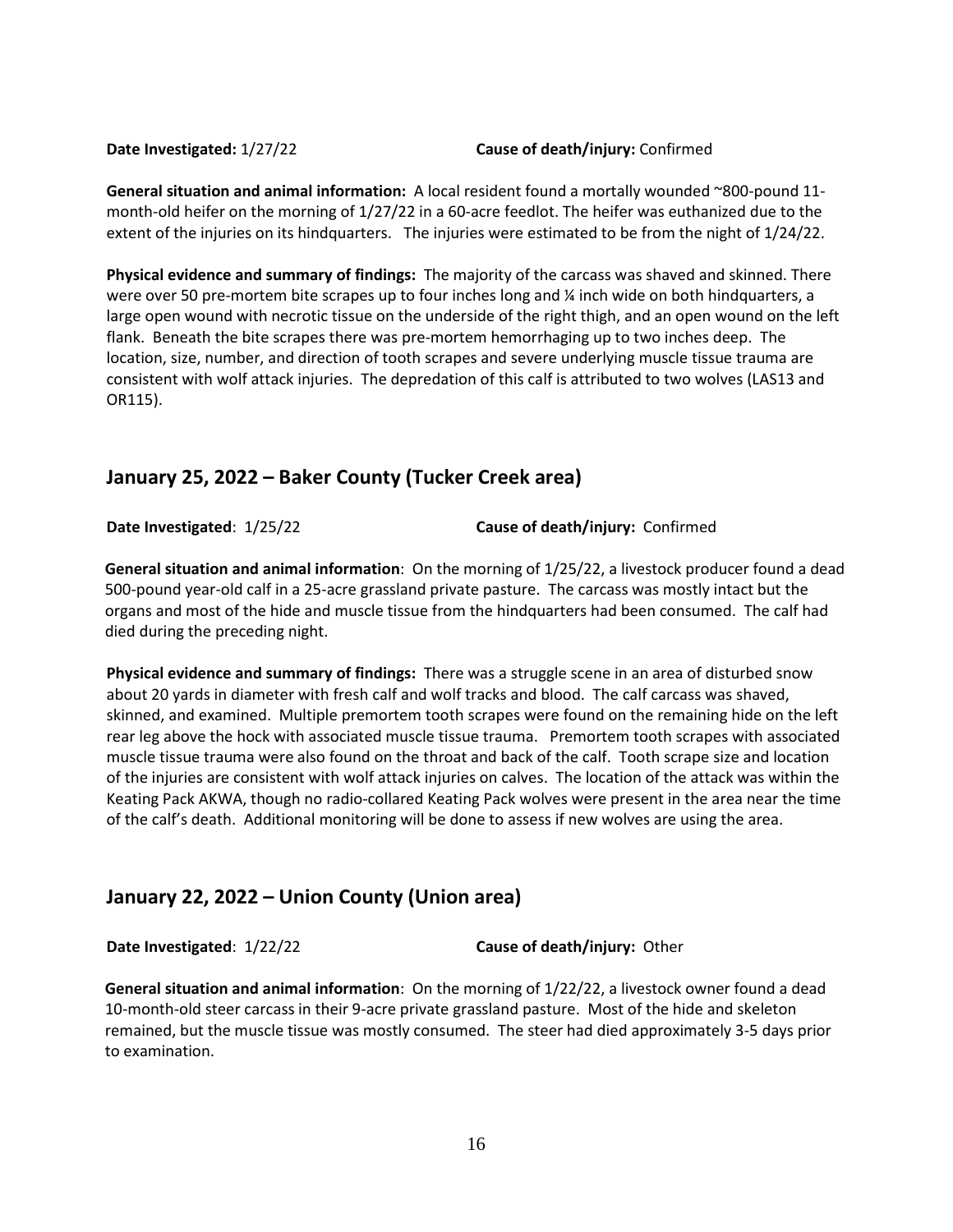### **Date Investigated:** 1/27/22 **Cause of death/injury:** Confirmed

**General situation and animal information:** A local resident found a mortally wounded ~800-pound 11 month-old heifer on the morning of 1/27/22 in a 60-acre feedlot. The heifer was euthanized due to the extent of the injuries on its hindquarters. The injuries were estimated to be from the night of 1/24/22.

**Physical evidence and summary of findings:** The majority of the carcass was shaved and skinned. There were over 50 pre-mortem bite scrapes up to four inches long and  $\frac{1}{4}$  inch wide on both hindquarters, a large open wound with necrotic tissue on the underside of the right thigh, and an open wound on the left flank. Beneath the bite scrapes there was pre-mortem hemorrhaging up to two inches deep. The location, size, number, and direction of tooth scrapes and severe underlying muscle tissue trauma are consistent with wolf attack injuries. The depredation of this calf is attributed to two wolves (LAS13 and OR115).

## **January 25, 2022 – Baker County (Tucker Creek area)**

**Date Investigated**: 1/25/22 **Cause of death/injury:** Confirmed

**General situation and animal information**: On the morning of 1/25/22, a livestock producer found a dead 500-pound year-old calf in a 25-acre grassland private pasture. The carcass was mostly intact but the organs and most of the hide and muscle tissue from the hindquarters had been consumed. The calf had died during the preceding night.

**Physical evidence and summary of findings:** There was a struggle scene in an area of disturbed snow about 20 yards in diameter with fresh calf and wolf tracks and blood. The calf carcass was shaved, skinned, and examined. Multiple premortem tooth scrapes were found on the remaining hide on the left rear leg above the hock with associated muscle tissue trauma. Premortem tooth scrapes with associated muscle tissue trauma were also found on the throat and back of the calf. Tooth scrape size and location of the injuries are consistent with wolf attack injuries on calves. The location of the attack was within the Keating Pack AKWA, though no radio-collared Keating Pack wolves were present in the area near the time of the calf's death. Additional monitoring will be done to assess if new wolves are using the area.

## **January 22, 2022 – Union County (Union area)**

**Date Investigated**: 1/22/22 **Cause of death/injury:** Other

**General situation and animal information**: On the morning of 1/22/22, a livestock owner found a dead 10-month-old steer carcass in their 9-acre private grassland pasture. Most of the hide and skeleton remained, but the muscle tissue was mostly consumed. The steer had died approximately 3-5 days prior to examination.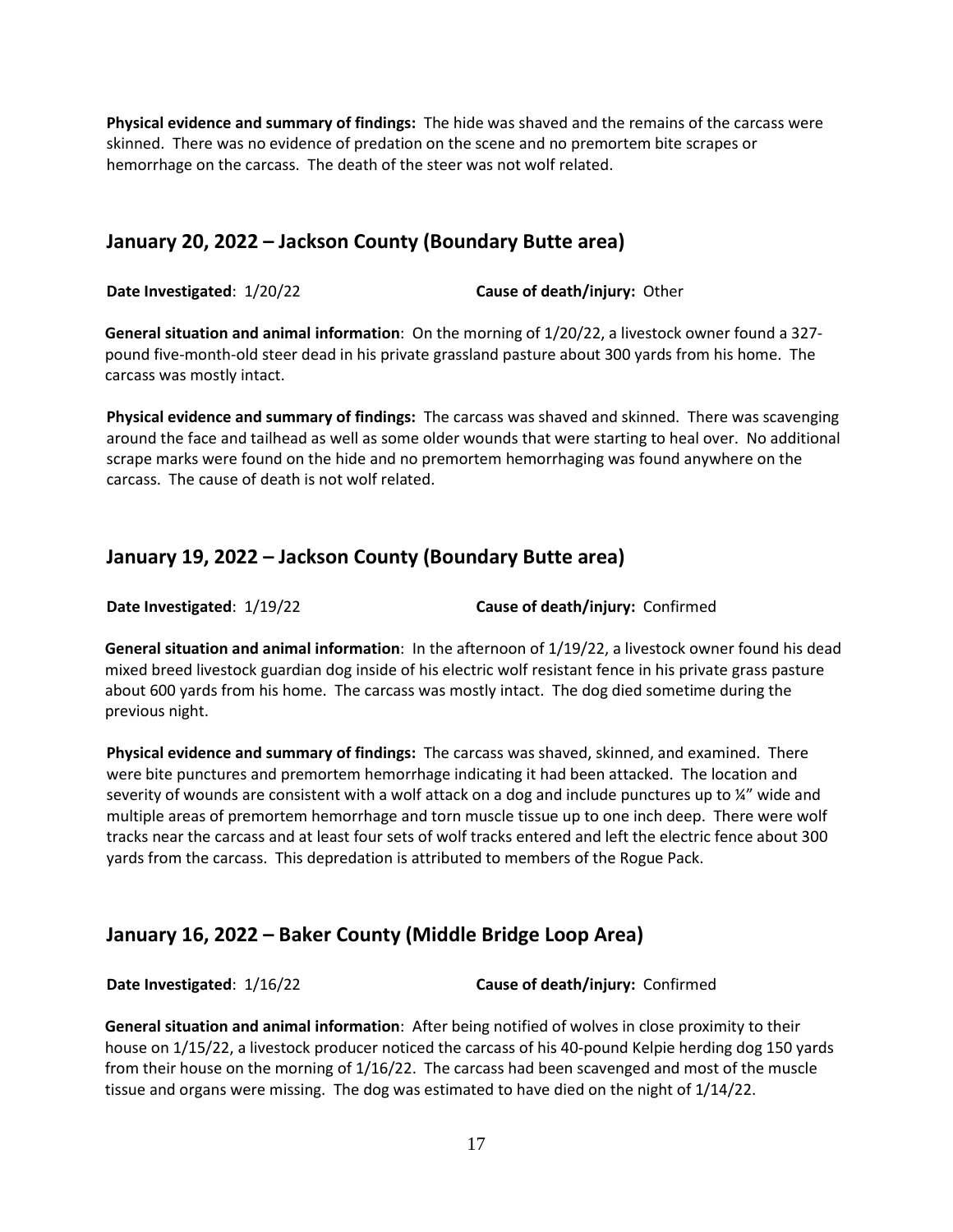**Physical evidence and summary of findings:** The hide was shaved and the remains of the carcass were skinned. There was no evidence of predation on the scene and no premortem bite scrapes or hemorrhage on the carcass. The death of the steer was not wolf related.

## **January 20, 2022 – Jackson County (Boundary Butte area)**

**Date Investigated**: 1/20/22 **Cause of death/injury:** Other

**General situation and animal information**: On the morning of 1/20/22, a livestock owner found a 327 pound five-month-old steer dead in his private grassland pasture about 300 yards from his home. The carcass was mostly intact.

**Physical evidence and summary of findings:** The carcass was shaved and skinned. There was scavenging around the face and tailhead as well as some older wounds that were starting to heal over. No additional scrape marks were found on the hide and no premortem hemorrhaging was found anywhere on the carcass. The cause of death is not wolf related.

## **January 19, 2022 – Jackson County (Boundary Butte area)**

**Date Investigated**: 1/19/22 **Cause of death/injury:** Confirmed

**General situation and animal information**: In the afternoon of 1/19/22, a livestock owner found his dead mixed breed livestock guardian dog inside of his electric wolf resistant fence in his private grass pasture about 600 yards from his home. The carcass was mostly intact. The dog died sometime during the previous night.

**Physical evidence and summary of findings:** The carcass was shaved, skinned, and examined. There were bite punctures and premortem hemorrhage indicating it had been attacked. The location and severity of wounds are consistent with a wolf attack on a dog and include punctures up to ¼" wide and multiple areas of premortem hemorrhage and torn muscle tissue up to one inch deep. There were wolf tracks near the carcass and at least four sets of wolf tracks entered and left the electric fence about 300 yards from the carcass. This depredation is attributed to members of the Rogue Pack.

## **January 16, 2022 – Baker County (Middle Bridge Loop Area)**

**Date Investigated**: 1/16/22 **Cause of death/injury:** Confirmed

**General situation and animal information**: After being notified of wolves in close proximity to their house on 1/15/22, a livestock producer noticed the carcass of his 40-pound Kelpie herding dog 150 yards from their house on the morning of 1/16/22. The carcass had been scavenged and most of the muscle tissue and organs were missing. The dog was estimated to have died on the night of 1/14/22.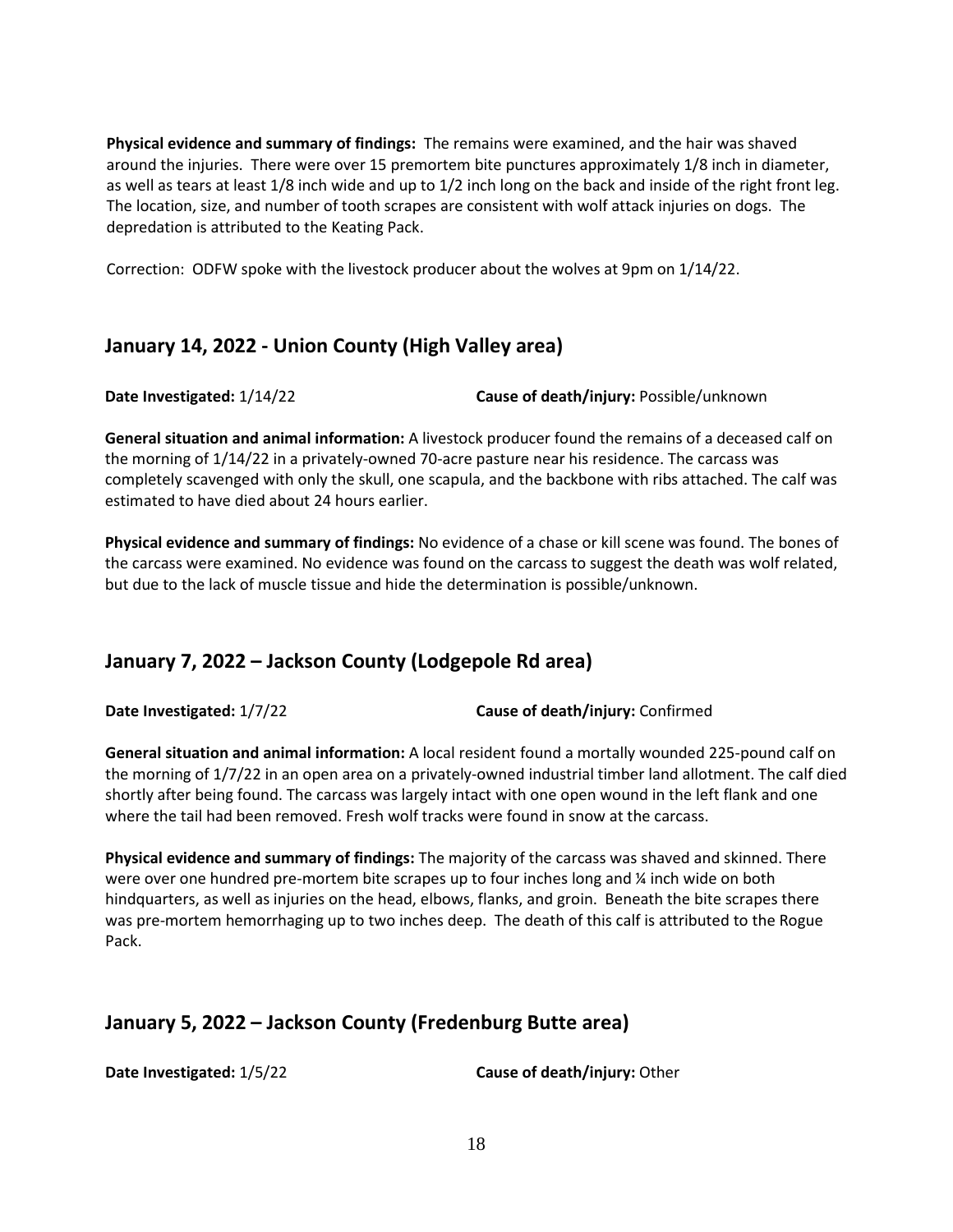**Physical evidence and summary of findings:** The remains were examined, and the hair was shaved around the injuries. There were over 15 premortem bite punctures approximately 1/8 inch in diameter, as well as tears at least 1/8 inch wide and up to 1/2 inch long on the back and inside of the right front leg. The location, size, and number of tooth scrapes are consistent with wolf attack injuries on dogs. The depredation is attributed to the Keating Pack.

Correction: ODFW spoke with the livestock producer about the wolves at 9pm on 1/14/22.

## **January 14, 2022 - Union County (High Valley area)**

**Date Investigated:** 1/14/22 **Cause of death/injury:** Possible/unknown

**General situation and animal information:** A livestock producer found the remains of a deceased calf on the morning of 1/14/22 in a privately-owned 70-acre pasture near his residence. The carcass was completely scavenged with only the skull, one scapula, and the backbone with ribs attached. The calf was estimated to have died about 24 hours earlier.

**Physical evidence and summary of findings:** No evidence of a chase or kill scene was found. The bones of the carcass were examined. No evidence was found on the carcass to suggest the death was wolf related, but due to the lack of muscle tissue and hide the determination is possible/unknown.

# **January 7, 2022 – Jackson County (Lodgepole Rd area)**

**Date Investigated:** 1/7/22 **Cause of death/injury:** Confirmed

**General situation and animal information:** A local resident found a mortally wounded 225-pound calf on the morning of 1/7/22 in an open area on a privately-owned industrial timber land allotment. The calf died shortly after being found. The carcass was largely intact with one open wound in the left flank and one where the tail had been removed. Fresh wolf tracks were found in snow at the carcass.

**Physical evidence and summary of findings:** The majority of the carcass was shaved and skinned. There were over one hundred pre-mortem bite scrapes up to four inches long and  $\frac{1}{4}$  inch wide on both hindquarters, as well as injuries on the head, elbows, flanks, and groin. Beneath the bite scrapes there was pre-mortem hemorrhaging up to two inches deep. The death of this calf is attributed to the Rogue Pack.

# **January 5, 2022 – Jackson County (Fredenburg Butte area)**

**Date Investigated:** 1/5/22 **Cause of death/injury:** Other